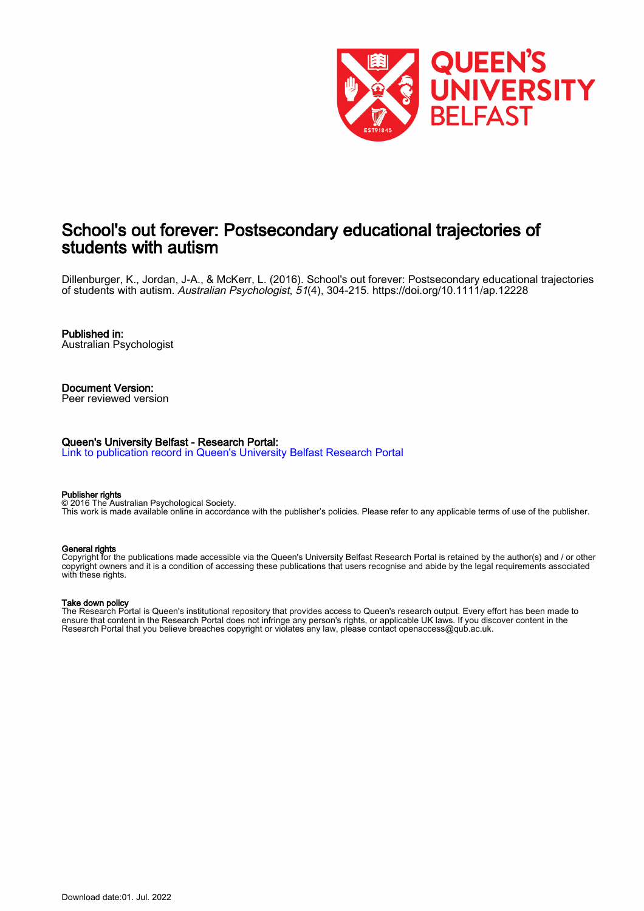

# School's out forever: Postsecondary educational trajectories of students with autism

Dillenburger, K., Jordan, J-A., & McKerr, L. (2016). School's out forever: Postsecondary educational trajectories of students with autism. Australian Psychologist, 51(4), 304-215.<https://doi.org/10.1111/ap.12228>

Published in: Australian Psychologist

Document Version: Peer reviewed version

#### Queen's University Belfast - Research Portal:

[Link to publication record in Queen's University Belfast Research Portal](https://pure.qub.ac.uk/en/publications/49061c4c-9cd4-4a3e-8b3b-90ea980f049c)

#### Publisher rights

© 2016 The Australian Psychological Society. This work is made available online in accordance with the publisher's policies. Please refer to any applicable terms of use of the publisher.

#### General rights

Copyright for the publications made accessible via the Queen's University Belfast Research Portal is retained by the author(s) and / or other copyright owners and it is a condition of accessing these publications that users recognise and abide by the legal requirements associated with these rights.

#### Take down policy

The Research Portal is Queen's institutional repository that provides access to Queen's research output. Every effort has been made to ensure that content in the Research Portal does not infringe any person's rights, or applicable UK laws. If you discover content in the Research Portal that you believe breaches copyright or violates any law, please contact openaccess@qub.ac.uk.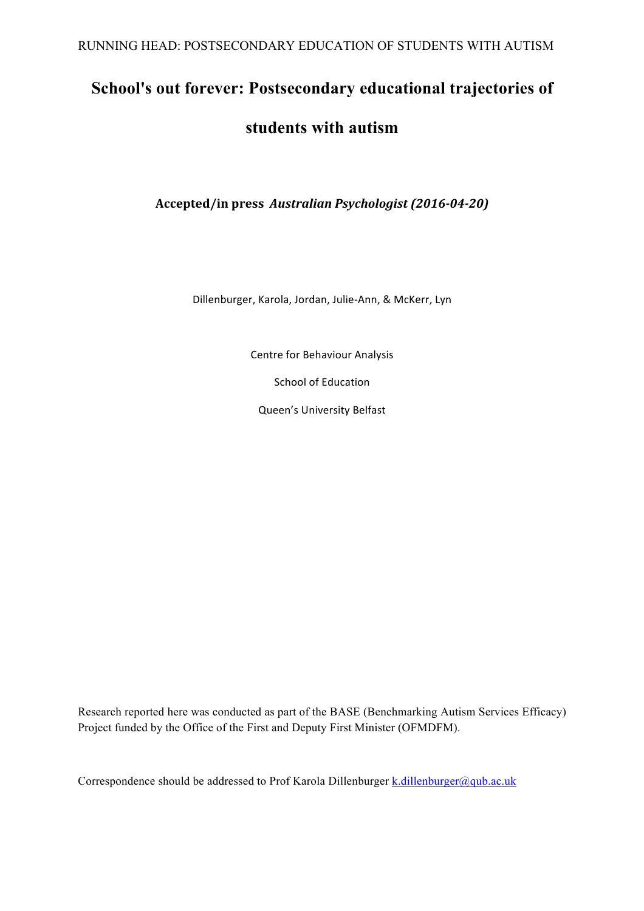# **School's out forever: Postsecondary educational trajectories of**

# **students with autism**

**Accepted/in press**  *Australian Psychologist (2016-04-20)*

Dillenburger, Karola, Jordan, Julie-Ann, & McKerr, Lyn

Centre for Behaviour Analysis

School of Education

Queen's University Belfast

Research reported here was conducted as part of the BASE (Benchmarking Autism Services Efficacy) Project funded by the Office of the First and Deputy First Minister (OFMDFM).

Correspondence should be addressed to Prof Karola Dillenburger k.dillenburger@qub.ac.uk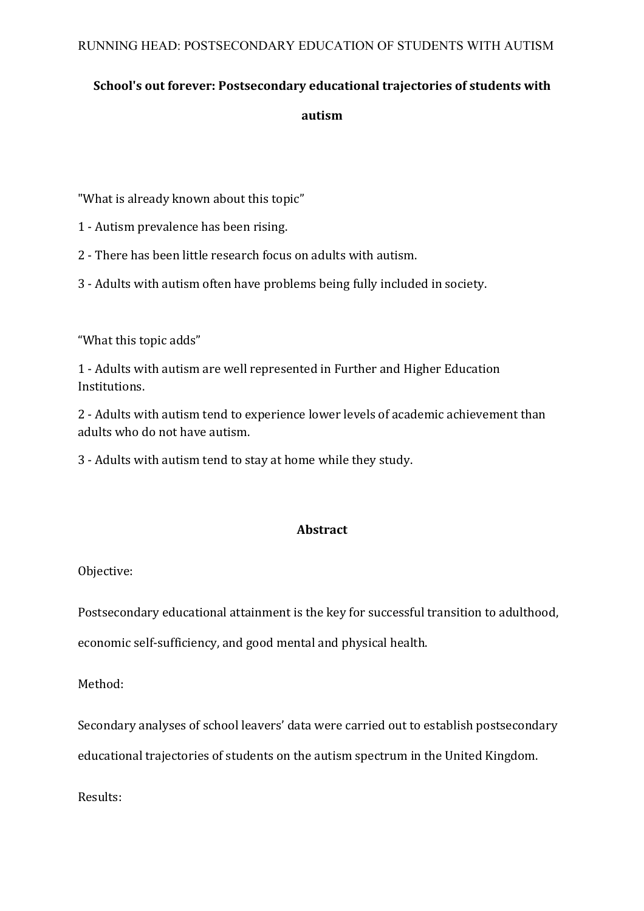# **School's out forever: Postsecondary educational trajectories of students with**

# **autism**

"What is already known about this topic"

- 1 Autism prevalence has been rising.
- 2 There has been little research focus on adults with autism.
- 3 Adults with autism often have problems being fully included in society.

"What this topic adds"

1 - Adults with autism are well represented in Further and Higher Education Institutions.

2 - Adults with autism tend to experience lower levels of academic achievement than adults who do not have autism.

3 - Adults with autism tend to stay at home while they study.

# **Abstract**

Objective:

Postsecondary educational attainment is the key for successful transition to adulthood,

economic self-sufficiency, and good mental and physical health.

Method:

Secondary analyses of school leavers' data were carried out to establish postsecondary educational trajectories of students on the autism spectrum in the United Kingdom.

Results: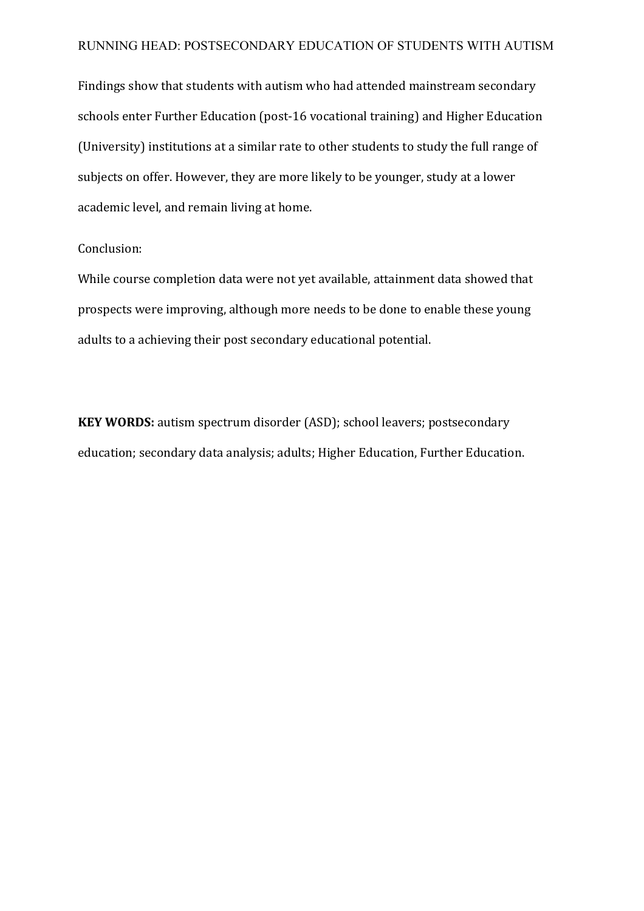Findings show that students with autism who had attended mainstream secondary schools enter Further Education (post-16 vocational training) and Higher Education (University) institutions at a similar rate to other students to study the full range of subjects on offer. However, they are more likely to be younger, study at a lower academic level, and remain living at home.

# Conclusion:

While course completion data were not yet available, attainment data showed that prospects were improving, although more needs to be done to enable these young adults to a achieving their post secondary educational potential.

**KEY WORDS:** autism spectrum disorder (ASD); school leavers; postsecondary education; secondary data analysis; adults; Higher Education, Further Education.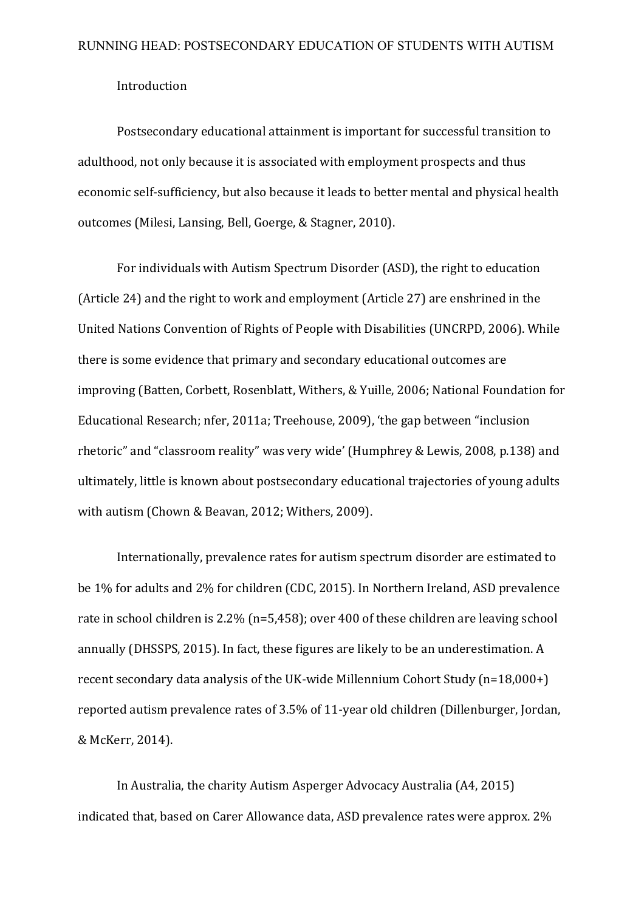### Introduction

Postsecondary educational attainment is important for successful transition to adulthood, not only because it is associated with employment prospects and thus economic self-sufficiency, but also because it leads to better mental and physical health outcomes (Milesi, Lansing, Bell, Goerge, & Stagner, 2010).

For individuals with Autism Spectrum Disorder (ASD), the right to education (Article 24) and the right to work and employment (Article 27) are enshrined in the United Nations Convention of Rights of People with Disabilities (UNCRPD, 2006). While there is some evidence that primary and secondary educational outcomes are improving (Batten, Corbett, Rosenblatt, Withers, & Yuille, 2006; National Foundation for Educational Research; nfer, 2011a; Treehouse, 2009), 'the gap between "inclusion rhetoric" and "classroom reality" was very wide' (Humphrey & Lewis, 2008, p.138) and ultimately, little is known about postsecondary educational trajectories of young adults with autism (Chown & Beavan, 2012; Withers, 2009).

Internationally, prevalence rates for autism spectrum disorder are estimated to be 1% for adults and 2% for children (CDC, 2015). In Northern Ireland, ASD prevalence rate in school children is  $2.2\%$  (n=5,458); over 400 of these children are leaving school annually (DHSSPS, 2015). In fact, these figures are likely to be an underestimation. A recent secondary data analysis of the UK-wide Millennium Cohort Study  $(n=18,000+)$ reported autism prevalence rates of 3.5% of 11-year old children (Dillenburger, Jordan, & McKerr, 2014). 

In Australia, the charity Autism Asperger Advocacy Australia (A4, 2015) indicated that, based on Carer Allowance data, ASD prevalence rates were approx. 2%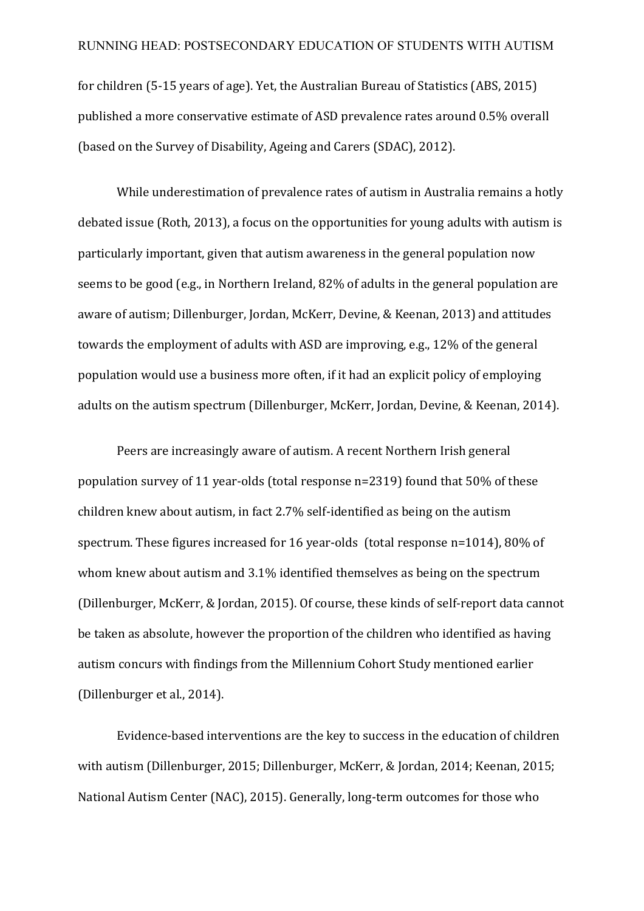for children  $(5-15$  years of age). Yet, the Australian Bureau of Statistics (ABS, 2015) published a more conservative estimate of ASD prevalence rates around 0.5% overall (based on the Survey of Disability, Ageing and Carers (SDAC), 2012).

While underestimation of prevalence rates of autism in Australia remains a hotly debated issue (Roth, 2013), a focus on the opportunities for young adults with autism is particularly important, given that autism awareness in the general population now seems to be good (e.g., in Northern Ireland, 82% of adults in the general population are aware of autism; Dillenburger, Jordan, McKerr, Devine, & Keenan, 2013) and attitudes towards the employment of adults with ASD are improving, e.g.,  $12\%$  of the general population would use a business more often, if it had an explicit policy of employing adults on the autism spectrum (Dillenburger, McKerr, Jordan, Devine, & Keenan, 2014).

Peers are increasingly aware of autism. A recent Northern Irish general population survey of 11 year-olds (total response  $n=2319$ ) found that  $50\%$  of these children knew about autism, in fact  $2.7\%$  self-identified as being on the autism spectrum. These figures increased for 16 year-olds (total response  $n=1014$ ), 80% of whom knew about autism and 3.1% identified themselves as being on the spectrum (Dillenburger, McKerr, & Jordan, 2015). Of course, these kinds of self-report data cannot be taken as absolute, however the proportion of the children who identified as having autism concurs with findings from the Millennium Cohort Study mentioned earlier (Dillenburger et al., 2014).

Evidence-based interventions are the key to success in the education of children with autism (Dillenburger, 2015; Dillenburger, McKerr, & Jordan, 2014; Keenan, 2015; National Autism Center (NAC), 2015). Generally, long-term outcomes for those who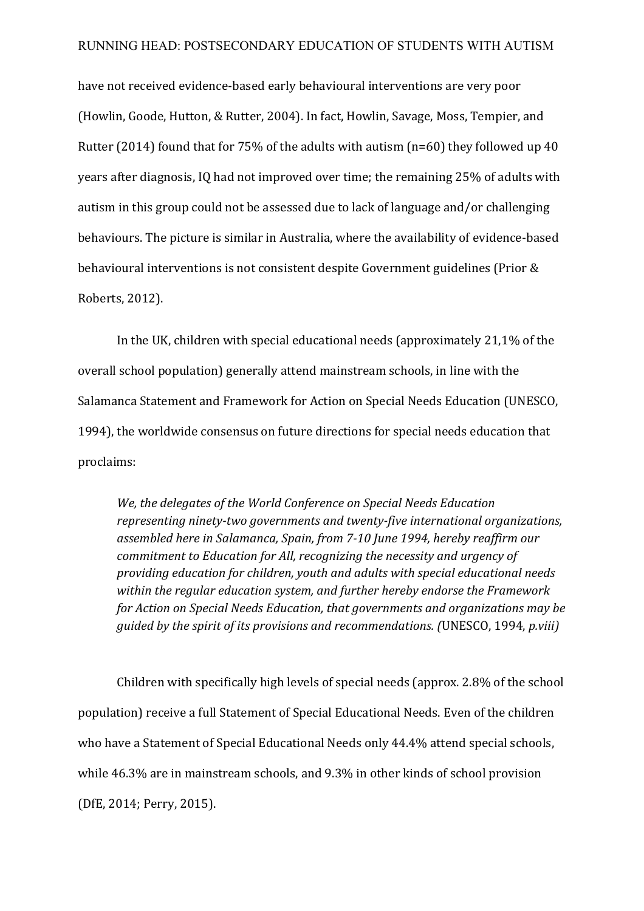have not received evidence-based early behavioural interventions are very poor (Howlin, Goode, Hutton, & Rutter, 2004). In fact, Howlin, Savage, Moss, Tempier, and Rutter (2014) found that for 75% of the adults with autism (n=60) they followed up 40 years after diagnosis, IQ had not improved over time; the remaining 25% of adults with autism in this group could not be assessed due to lack of language and/or challenging behaviours. The picture is similar in Australia, where the availability of evidence-based behavioural interventions is not consistent despite Government guidelines (Prior & Roberts, 2012).

In the UK, children with special educational needs (approximately  $21.1\%$  of the overall school population) generally attend mainstream schools, in line with the Salamanca Statement and Framework for Action on Special Needs Education (UNESCO, 1994), the worldwide consensus on future directions for special needs education that proclaims: 

We, the delegates of the World Conference on Special Needs Education *representing ninety-two governments and twenty-five international organizations,* assembled here in Salamanca, Spain, from 7-10 June 1994, hereby reaffirm our *commitment to Education for All, recognizing the necessity and urgency of providing education for children, youth and adults with special educational needs* within the regular education system, and further hereby endorse the Framework *for Action on Special Needs Education, that governments and organizations may be guided by the spirit of its provisions and recommendations. (UNESCO, 1994, p.viii)* 

Children with specifically high levels of special needs (approx.  $2.8\%$  of the school population) receive a full Statement of Special Educational Needs. Even of the children who have a Statement of Special Educational Needs only 44.4% attend special schools, while 46.3% are in mainstream schools, and 9.3% in other kinds of school provision (DfE, 2014; Perry, 2015).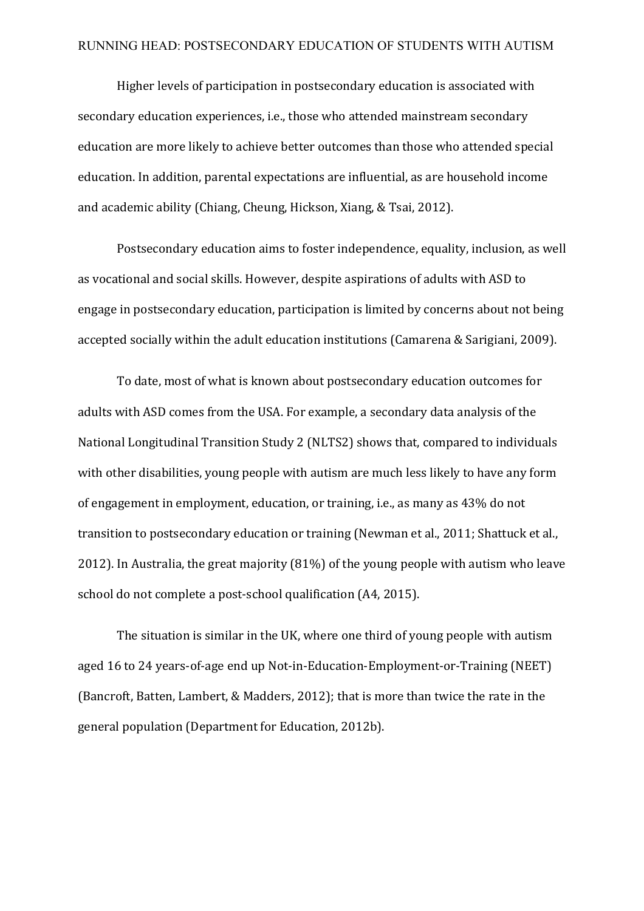Higher levels of participation in postsecondary education is associated with secondary education experiences, i.e., those who attended mainstream secondary education are more likely to achieve better outcomes than those who attended special education. In addition, parental expectations are influential, as are household income and academic ability (Chiang, Cheung, Hickson, Xiang, & Tsai, 2012).

Postsecondary education aims to foster independence, equality, inclusion, as well as vocational and social skills. However, despite aspirations of adults with ASD to engage in postsecondary education, participation is limited by concerns about not being accepted socially within the adult education institutions (Camarena & Sarigiani, 2009).

To date, most of what is known about postsecondary education outcomes for adults with ASD comes from the USA. For example, a secondary data analysis of the National Longitudinal Transition Study 2 (NLTS2) shows that, compared to individuals with other disabilities, young people with autism are much less likely to have any form of engagement in employment, education, or training, i.e., as many as 43% do not transition to postsecondary education or training (Newman et al., 2011; Shattuck et al., 2012). In Australia, the great majority  $(81%)$  of the young people with autism who leave school do not complete a post-school qualification (A4, 2015).

The situation is similar in the UK, where one third of young people with autism aged 16 to 24 years-of-age end up Not-in-Education-Employment-or-Training (NEET) (Bancroft, Batten, Lambert, & Madders, 2012); that is more than twice the rate in the general population (Department for Education, 2012b).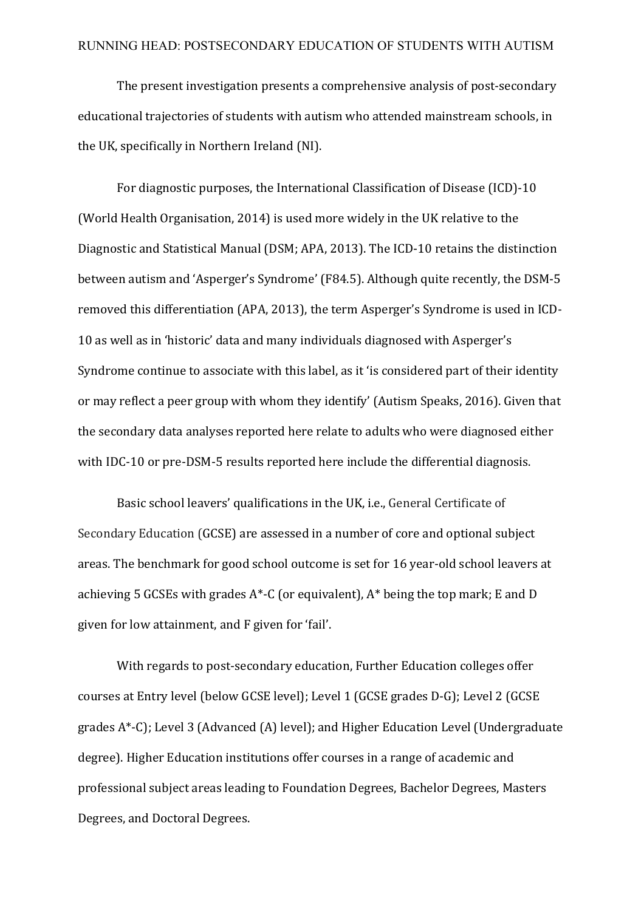The present investigation presents a comprehensive analysis of post-secondary educational trajectories of students with autism who attended mainstream schools, in the UK, specifically in Northern Ireland (NI).

For diagnostic purposes, the International Classification of Disease (ICD)-10 (World Health Organisation, 2014) is used more widely in the UK relative to the Diagnostic and Statistical Manual (DSM; APA, 2013). The ICD-10 retains the distinction between autism and 'Asperger's Syndrome' (F84.5). Although quite recently, the DSM-5 removed this differentiation (APA, 2013), the term Asperger's Syndrome is used in ICD-10 as well as in 'historic' data and many individuals diagnosed with Asperger's Syndrome continue to associate with this label, as it 'is considered part of their identity or may reflect a peer group with whom they identify' (Autism Speaks, 2016). Given that the secondary data analyses reported here relate to adults who were diagnosed either with IDC-10 or pre-DSM-5 results reported here include the differential diagnosis.

Basic school leavers' qualifications in the UK, i.e., General Certificate of Secondary Education (GCSE) are assessed in a number of core and optional subject areas. The benchmark for good school outcome is set for 16 year-old school leavers at achieving 5 GCSEs with grades  $A^*$ -C (or equivalent),  $A^*$  being the top mark; E and D given for low attainment, and F given for 'fail'.

With regards to post-secondary education, Further Education colleges offer courses at Entry level (below GCSE level); Level 1 (GCSE grades D-G); Level 2 (GCSE grades  $A^*$ -C); Level 3 (Advanced (A) level); and Higher Education Level (Undergraduate degree). Higher Education institutions offer courses in a range of academic and professional subject areas leading to Foundation Degrees, Bachelor Degrees, Masters Degrees, and Doctoral Degrees.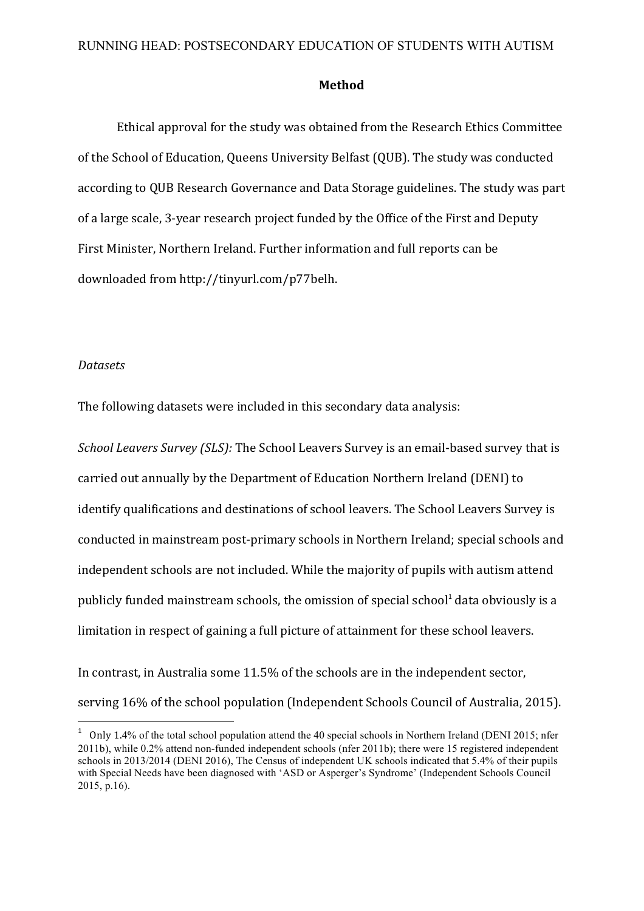#### **Method**

Ethical approval for the study was obtained from the Research Ethics Committee of the School of Education, Queens University Belfast (QUB). The study was conducted according to QUB Research Governance and Data Storage guidelines. The study was part of a large scale, 3-year research project funded by the Office of the First and Deputy First Minister, Northern Ireland. Further information and full reports can be downloaded from http://tinyurl.com/p77belh.

#### *Datasets*

<u> 1989 - Johann Barn, mars eta bainar eta industrial eta baina eta baina eta baina eta baina eta baina eta bain</u>

The following datasets were included in this secondary data analysis:

*School Leavers Survey (SLS):* The School Leavers Survey is an email-based survey that is carried out annually by the Department of Education Northern Ireland (DENI) to identify qualifications and destinations of school leavers. The School Leavers Survey is conducted in mainstream post-primary schools in Northern Ireland: special schools and independent schools are not included. While the majority of pupils with autism attend publicly funded mainstream schools, the omission of special school<sup>1</sup> data obviously is a limitation in respect of gaining a full picture of attainment for these school leavers.

In contrast, in Australia some 11.5% of the schools are in the independent sector, serving 16% of the school population (Independent Schools Council of Australia, 2015).

<sup>&</sup>lt;sup>1</sup> Only 1.4% of the total school population attend the 40 special schools in Northern Ireland (DENI 2015; nfer 2011b), while 0.2% attend non-funded independent schools (nfer 2011b); there were 15 registered independent schools in 2013/2014 (DENI 2016), The Census of independent UK schools indicated that 5.4% of their pupils with Special Needs have been diagnosed with 'ASD or Asperger's Syndrome' (Independent Schools Council 2015, p.16).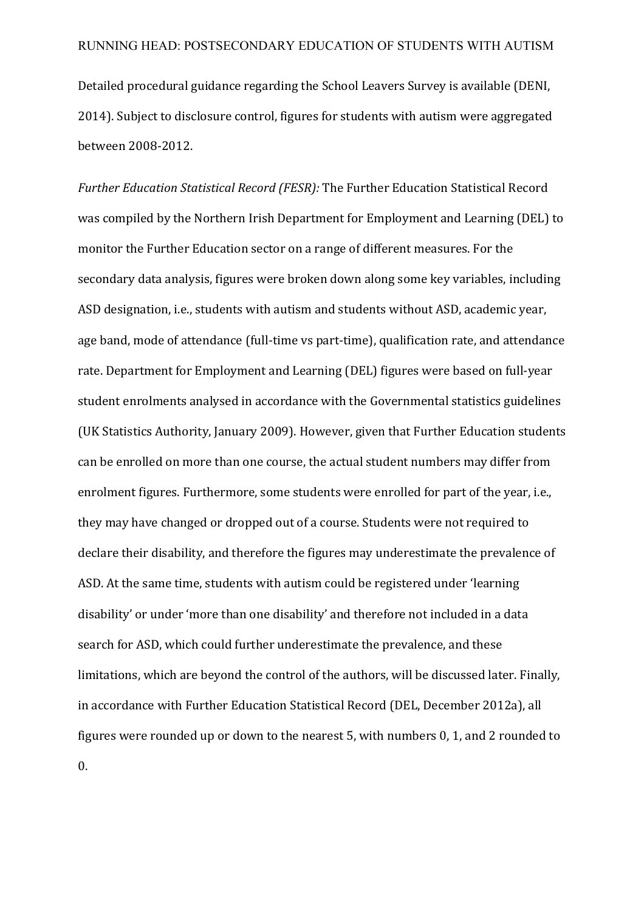Detailed procedural guidance regarding the School Leavers Survey is available (DENI, 2014). Subject to disclosure control, figures for students with autism were aggregated between 2008-2012.

*Further Education Statistical Record (FESR):* The Further Education Statistical Record was compiled by the Northern Irish Department for Employment and Learning (DEL) to monitor the Further Education sector on a range of different measures. For the secondary data analysis, figures were broken down along some key variables, including ASD designation, i.e., students with autism and students without ASD, academic year, age band, mode of attendance (full-time vs part-time), qualification rate, and attendance rate. Department for Employment and Learning (DEL) figures were based on full-year student enrolments analysed in accordance with the Governmental statistics guidelines (UK Statistics Authority, January 2009). However, given that Further Education students can be enrolled on more than one course, the actual student numbers may differ from enrolment figures. Furthermore, some students were enrolled for part of the vear, i.e., they may have changed or dropped out of a course. Students were not required to declare their disability, and therefore the figures may underestimate the prevalence of ASD. At the same time, students with autism could be registered under 'learning disability' or under 'more than one disability' and therefore not included in a data search for ASD, which could further underestimate the prevalence, and these limitations, which are beyond the control of the authors, will be discussed later. Finally, in accordance with Further Education Statistical Record (DEL, December 2012a), all figures were rounded up or down to the nearest 5, with numbers 0, 1, and 2 rounded to

0.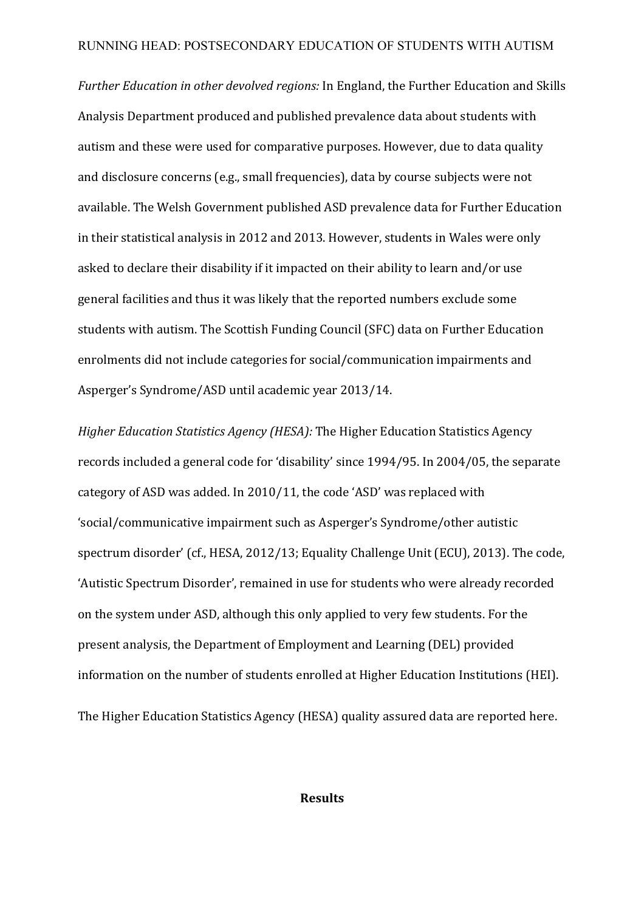*Further Education in other devolved regions:* In England, the Further Education and Skills Analysis Department produced and published prevalence data about students with autism and these were used for comparative purposes. However, due to data quality and disclosure concerns (e.g., small frequencies), data by course subjects were not available. The Welsh Government published ASD prevalence data for Further Education in their statistical analysis in 2012 and 2013. However, students in Wales were only asked to declare their disability if it impacted on their ability to learn and/or use general facilities and thus it was likely that the reported numbers exclude some students with autism. The Scottish Funding Council (SFC) data on Further Education enrolments did not include categories for social/communication impairments and Asperger's Syndrome/ASD until academic year 2013/14.

*Higher Education Statistics Agency (HESA):* The Higher Education Statistics Agency records included a general code for 'disability' since 1994/95. In 2004/05, the separate category of ASD was added. In 2010/11, the code 'ASD' was replaced with 'social/communicative impairment such as Asperger's Syndrome/other autistic spectrum disorder' (cf., HESA, 2012/13; Equality Challenge Unit (ECU), 2013). The code, 'Autistic Spectrum Disorder', remained in use for students who were already recorded on the system under ASD, although this only applied to very few students. For the present analysis, the Department of Employment and Learning (DEL) provided information on the number of students enrolled at Higher Education Institutions (HEI). The Higher Education Statistics Agency (HESA) quality assured data are reported here.

### **Results**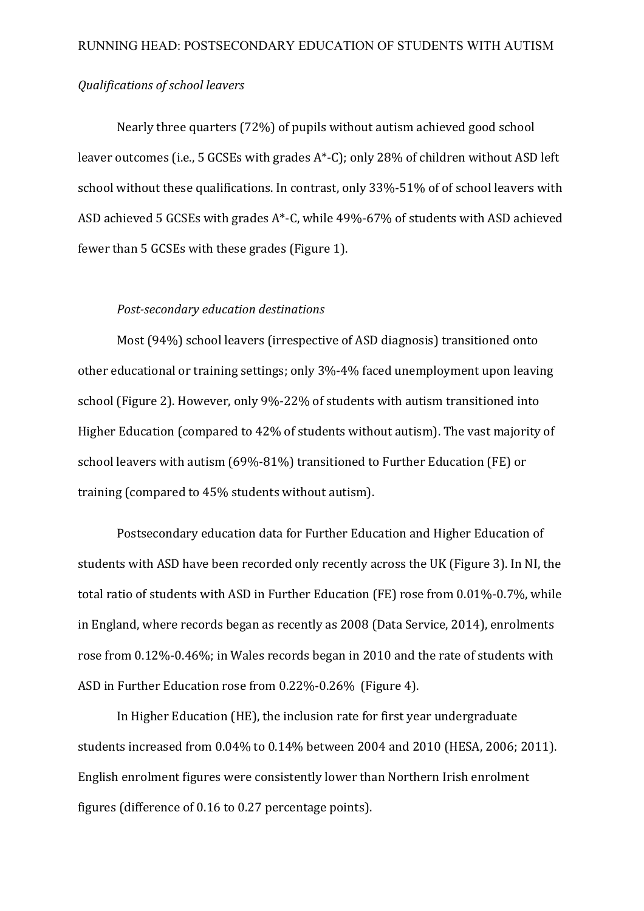# *Qualifications of school leavers*

Nearly three quarters (72%) of pupils without autism achieved good school leaver outcomes (i.e., 5 GCSEs with grades  $A^*$ -C); only 28% of children without ASD left school without these qualifications. In contrast, only 33%-51% of of school leavers with ASD achieved 5 GCSEs with grades  $A^*$ -C, while  $49\%$ -67% of students with ASD achieved fewer than 5 GCSEs with these grades (Figure 1).

#### *Post-secondary education destinations*

Most (94%) school leavers (irrespective of ASD diagnosis) transitioned onto other educational or training settings; only 3%-4% faced unemployment upon leaving school (Figure 2). However, only 9%-22% of students with autism transitioned into Higher Education (compared to 42% of students without autism). The vast majority of school leavers with autism (69%-81%) transitioned to Further Education (FE) or training (compared to 45% students without autism).

Postsecondary education data for Further Education and Higher Education of students with ASD have been recorded only recently across the UK (Figure 3). In NI, the total ratio of students with ASD in Further Education (FE) rose from 0.01%-0.7%, while in England, where records began as recently as 2008 (Data Service, 2014), enrolments rose from 0.12%-0.46%; in Wales records began in 2010 and the rate of students with ASD in Further Education rose from 0.22%-0.26% (Figure 4).

In Higher Education (HE), the inclusion rate for first year undergraduate students increased from 0.04% to 0.14% between 2004 and 2010 (HESA, 2006; 2011). English enrolment figures were consistently lower than Northern Irish enrolment figures (difference of 0.16 to 0.27 percentage points).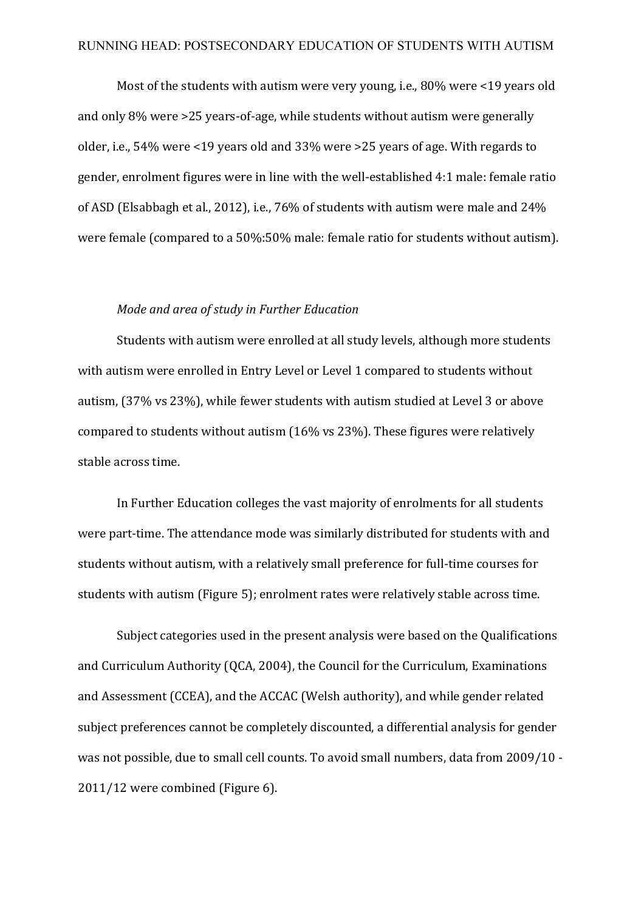Most of the students with autism were very young, i.e.,  $80\%$  were <19 years old and only  $8\%$  were  $>25$  years-of-age, while students without autism were generally older, i.e.,  $54\%$  were <19 years old and  $33\%$  were >25 years of age. With regards to gender, enrolment figures were in line with the well-established 4:1 male: female ratio of ASD (Elsabbagh et al., 2012), i.e., 76% of students with autism were male and 24% were female (compared to a 50%:50% male: female ratio for students without autism).

#### *Mode and area of study in Further Education*

Students with autism were enrolled at all study levels, although more students with autism were enrolled in Entry Level or Level 1 compared to students without autism, (37% vs 23%), while fewer students with autism studied at Level 3 or above compared to students without autism  $(16\% \text{ vs } 23\%)$ . These figures were relatively stable across time.

In Further Education colleges the vast majority of enrolments for all students were part-time. The attendance mode was similarly distributed for students with and students without autism, with a relatively small preference for full-time courses for students with autism (Figure 5); enrolment rates were relatively stable across time.

Subject categories used in the present analysis were based on the Qualifications and Curriculum Authority (QCA, 2004), the Council for the Curriculum, Examinations and Assessment (CCEA), and the ACCAC (Welsh authority), and while gender related subject preferences cannot be completely discounted, a differential analysis for gender was not possible, due to small cell counts. To avoid small numbers, data from 2009/10 - $2011/12$  were combined (Figure 6).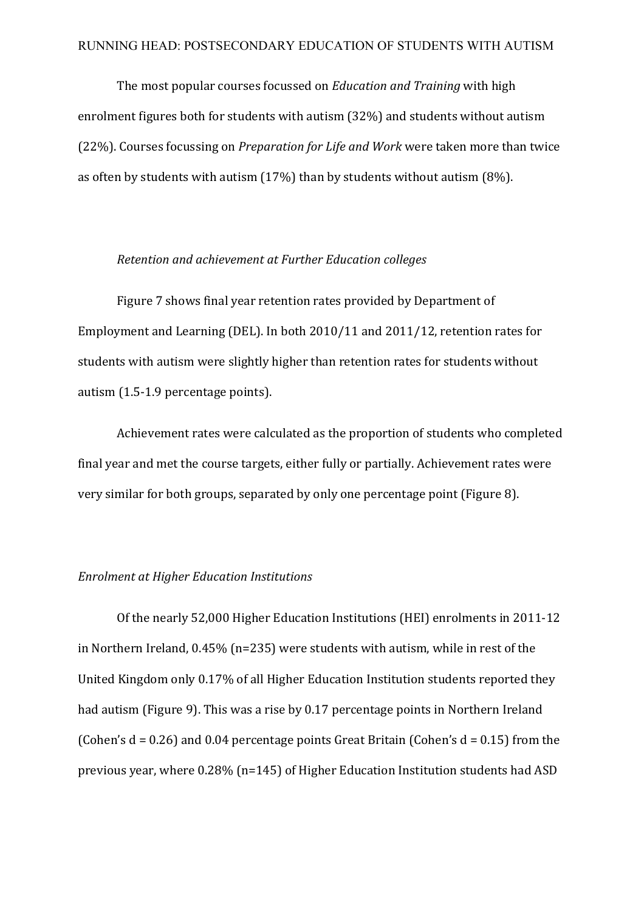The most popular courses focussed on *Education and Training* with high enrolment figures both for students with autism  $(32%)$  and students without autism (22%). Courses focussing on *Preparation for Life and Work* were taken more than twice as often by students with autism  $(17%)$  than by students without autism  $(8%)$ .

#### *Retention and achievement at Further Education colleges*

Figure 7 shows final year retention rates provided by Department of Employment and Learning (DEL). In both  $2010/11$  and  $2011/12$ , retention rates for students with autism were slightly higher than retention rates for students without autism (1.5-1.9 percentage points).

Achievement rates were calculated as the proportion of students who completed final year and met the course targets, either fully or partially. Achievement rates were very similar for both groups, separated by only one percentage point (Figure 8).

## *Enrolment at Higher Education Institutions*

Of the nearly 52,000 Higher Education Institutions (HEI) enrolments in 2011-12 in Northern Ireland,  $0.45\%$  (n=235) were students with autism, while in rest of the United Kingdom only 0.17% of all Higher Education Institution students reported they had autism (Figure 9). This was a rise by 0.17 percentage points in Northern Ireland (Cohen's  $d = 0.26$ ) and 0.04 percentage points Great Britain (Cohen's  $d = 0.15$ ) from the previous year, where  $0.28\%$  (n=145) of Higher Education Institution students had ASD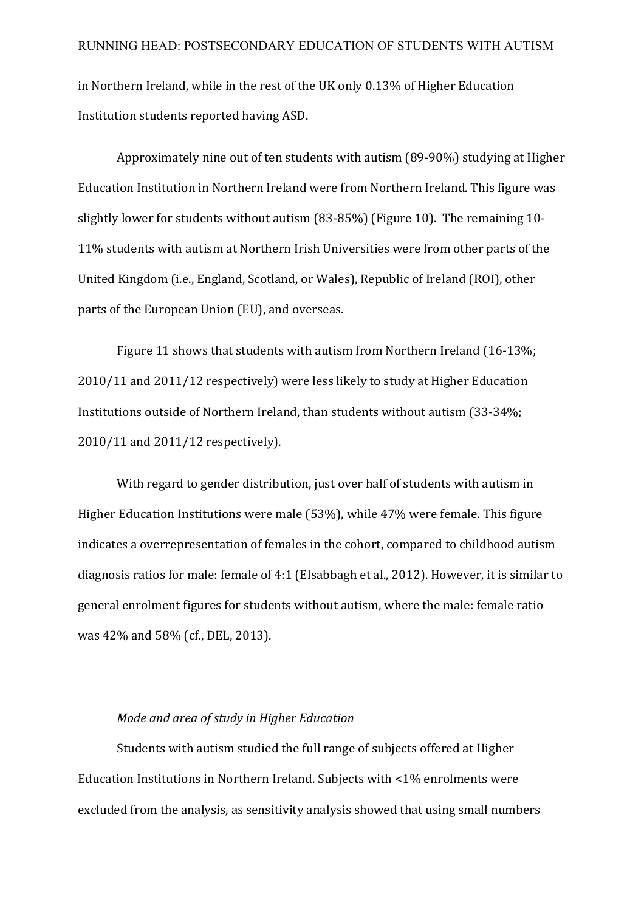in Northern Ireland, while in the rest of the UK only 0.13% of Higher Education Institution students reported having ASD.

Approximately nine out of ten students with autism (89-90%) studying at Higher Education Institution in Northern Ireland were from Northern Ireland. This figure was slightly lower for students without autism  $(83-85%)$  (Figure 10). The remaining 10-11% students with autism at Northern Irish Universities were from other parts of the United Kingdom (i.e., England, Scotland, or Wales), Republic of Ireland (ROI), other parts of the European Union (EU), and overseas.

Figure 11 shows that students with autism from Northern Ireland (16-13%; 2010/11 and 2011/12 respectively) were less likely to study at Higher Education Institutions outside of Northern Ireland, than students without autism (33-34%; 2010/11 and 2011/12 respectively).

With regard to gender distribution, just over half of students with autism in Higher Education Institutions were male  $(53%)$ , while  $47%$  were female. This figure indicates a overrepresentation of females in the cohort, compared to childhood autism diagnosis ratios for male: female of  $4:1$  (Elsabbagh et al., 2012). However, it is similar to general enrolment figures for students without autism, where the male: female ratio was 42% and 58% (cf., DEL, 2013).

### *Mode and area of study in Higher Education*

Students with autism studied the full range of subjects offered at Higher Education Institutions in Northern Ireland. Subjects with  $\langle 1\%$  enrolments were excluded from the analysis, as sensitivity analysis showed that using small numbers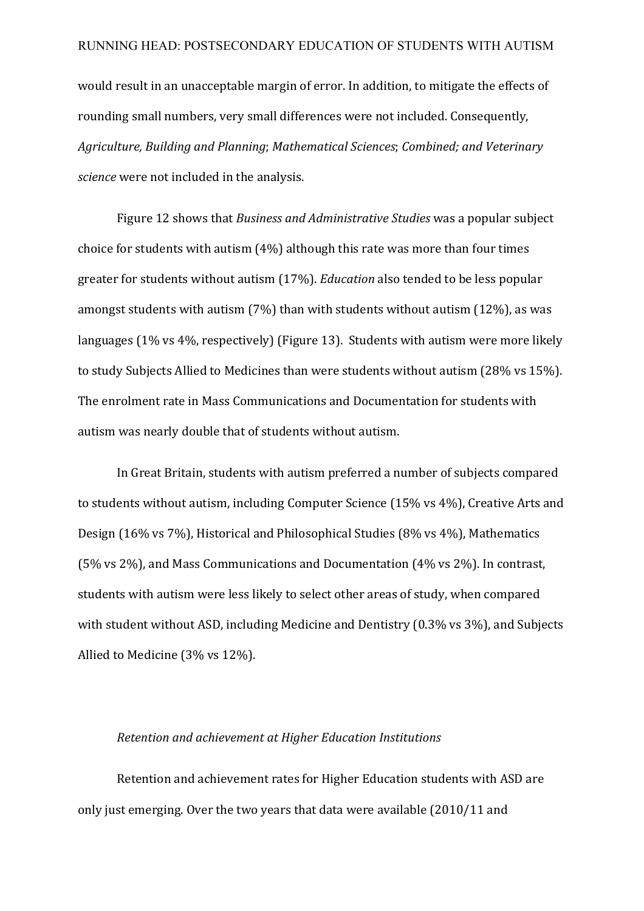would result in an unacceptable margin of error. In addition, to mitigate the effects of rounding small numbers, very small differences were not included. Consequently, Agriculture, Building and Planning; Mathematical Sciences; Combined; and Veterinary *science* were not included in the analysis.

Figure 12 shows that *Business and Administrative Studies* was a popular subject choice for students with autism  $(4%)$  although this rate was more than four times greater for students without autism (17%). *Education* also tended to be less popular amongst students with autism  $(7%)$  than with students without autism  $(12%)$ , as was languages  $(1\% \text{ vs } 4\% \text{, respectively})$  (Figure 13). Students with autism were more likely to study Subjects Allied to Medicines than were students without autism (28% vs 15%). The enrolment rate in Mass Communications and Documentation for students with autism was nearly double that of students without autism.

In Great Britain, students with autism preferred a number of subjects compared to students without autism, including Computer Science (15% vs 4%), Creative Arts and Design (16% vs 7%), Historical and Philosophical Studies (8% vs 4%), Mathematics (5% vs 2%), and Mass Communications and Documentation  $(4\% \text{ vs } 2\%)$ . In contrast, students with autism were less likely to select other areas of study, when compared with student without ASD, including Medicine and Dentistry  $(0.3\% \text{ vs } 3\%)$ , and Subjects Allied to Medicine  $(3\% \text{ vs } 12\%)$ .

#### *Retention and achievement at Higher Education Institutions*

Retention and achievement rates for Higher Education students with ASD are only just emerging. Over the two years that data were available (2010/11 and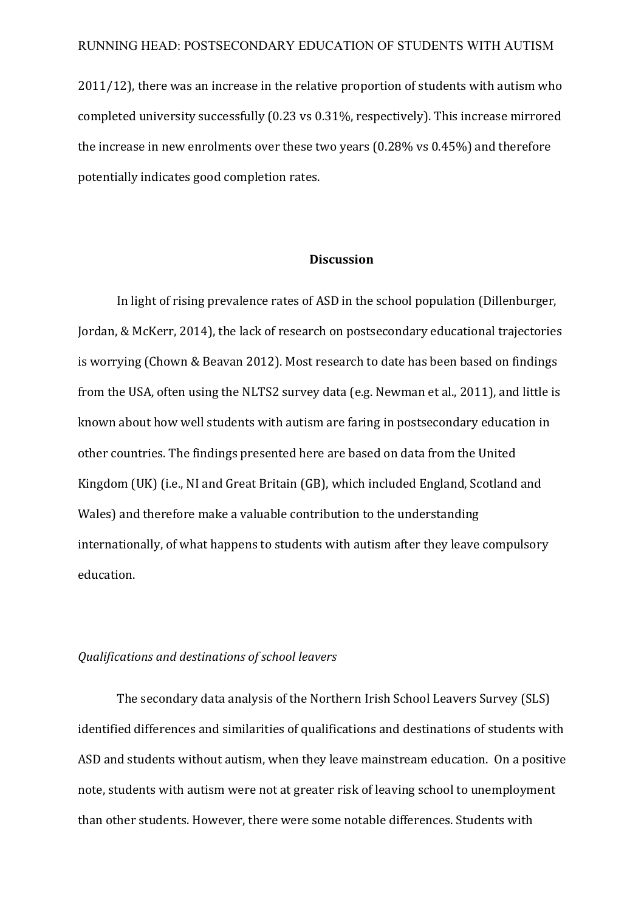$2011/12$ ), there was an increase in the relative proportion of students with autism who completed university successfully  $(0.23 \text{ vs } 0.31\%$ , respectively). This increase mirrored the increase in new enrolments over these two years  $(0.28\% \text{ vs } 0.45\%)$  and therefore potentially indicates good completion rates.

#### **Discussion**

In light of rising prevalence rates of ASD in the school population (Dillenburger, Jordan, & McKerr, 2014), the lack of research on postsecondary educational trajectories is worrying (Chown & Beavan 2012). Most research to date has been based on findings from the USA, often using the NLTS2 survey data (e.g. Newman et al., 2011), and little is known about how well students with autism are faring in postsecondary education in other countries. The findings presented here are based on data from the United Kingdom (UK) (i.e., NI and Great Britain (GB), which included England, Scotland and Wales) and therefore make a valuable contribution to the understanding internationally, of what happens to students with autism after they leave compulsory education. 

## *Qualifications and destinations of school leavers*

The secondary data analysis of the Northern Irish School Leavers Survey (SLS) identified differences and similarities of qualifications and destinations of students with ASD and students without autism, when they leave mainstream education. On a positive note, students with autism were not at greater risk of leaving school to unemployment than other students. However, there were some notable differences. Students with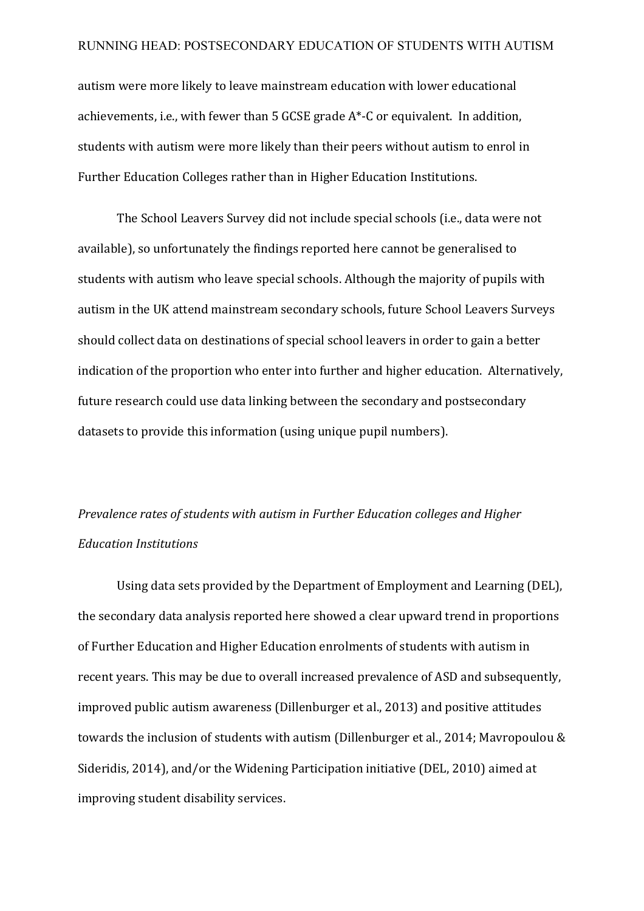autism were more likely to leave mainstream education with lower educational achievements, i.e., with fewer than 5 GCSE grade  $A^*$ -C or equivalent. In addition, students with autism were more likely than their peers without autism to enrol in Further Education Colleges rather than in Higher Education Institutions.

The School Leavers Survey did not include special schools (i.e., data were not available), so unfortunately the findings reported here cannot be generalised to students with autism who leave special schools. Although the majority of pupils with autism in the UK attend mainstream secondary schools, future School Leavers Surveys should collect data on destinations of special school leavers in order to gain a better indication of the proportion who enter into further and higher education. Alternatively, future research could use data linking between the secondary and postsecondary datasets to provide this information (using unique pupil numbers).

# *Prevalence rates of students with autism in Further Education colleges and Higher Education Institutions*

Using data sets provided by the Department of Employment and Learning (DEL), the secondary data analysis reported here showed a clear upward trend in proportions of Further Education and Higher Education enrolments of students with autism in recent years. This may be due to overall increased prevalence of ASD and subsequently, improved public autism awareness (Dillenburger et al., 2013) and positive attitudes towards the inclusion of students with autism (Dillenburger et al., 2014; Mavropoulou  $&$ Sideridis, 2014), and/or the Widening Participation initiative (DEL, 2010) aimed at improving student disability services.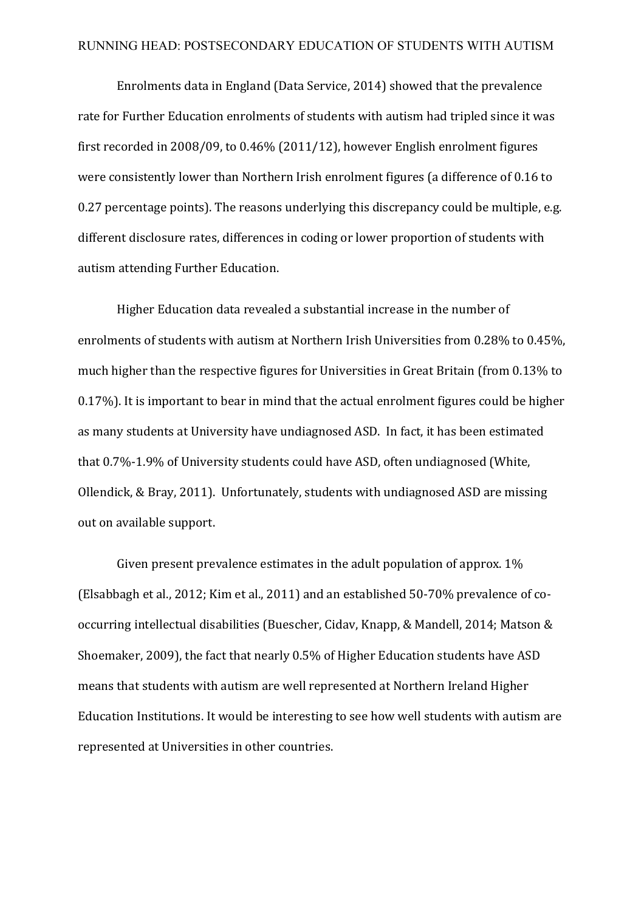Enrolments data in England (Data Service, 2014) showed that the prevalence rate for Further Education enrolments of students with autism had tripled since it was first recorded in 2008/09, to  $0.46\%$  (2011/12), however English enrolment figures were consistently lower than Northern Irish enrolment figures (a difference of 0.16 to  $0.27$  percentage points). The reasons underlying this discrepancy could be multiple, e.g. different disclosure rates, differences in coding or lower proportion of students with autism attending Further Education.

Higher Education data revealed a substantial increase in the number of enrolments of students with autism at Northern Irish Universities from 0.28% to 0.45%. much higher than the respective figures for Universities in Great Britain (from 0.13% to 0.17%). It is important to bear in mind that the actual enrolment figures could be higher as many students at University have undiagnosed ASD. In fact, it has been estimated that 0.7%-1.9% of University students could have ASD, often undiagnosed (White, Ollendick, & Bray, 2011). Unfortunately, students with undiagnosed ASD are missing out on available support.

Given present prevalence estimates in the adult population of approx.  $1\%$ (Elsabbagh et al., 2012; Kim et al., 2011) and an established  $50-70%$  prevalence of cooccurring intellectual disabilities (Buescher, Cidav, Knapp, & Mandell, 2014; Matson & Shoemaker, 2009), the fact that nearly 0.5% of Higher Education students have ASD means that students with autism are well represented at Northern Ireland Higher Education Institutions. It would be interesting to see how well students with autism are represented at Universities in other countries.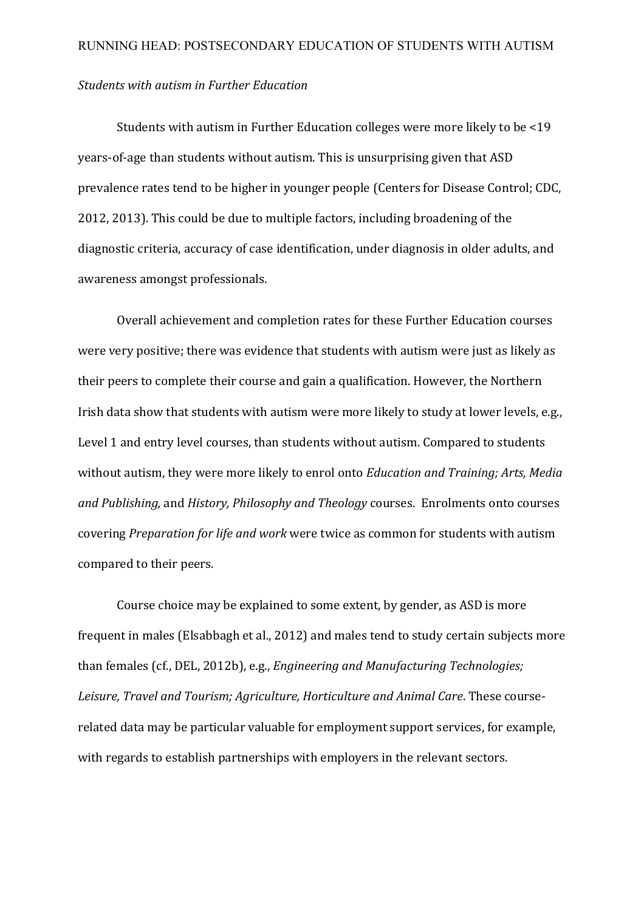## *Students with autism in Further Education*

Students with autism in Further Education colleges were more likely to be  $\leq 19$ years-of-age than students without autism. This is unsurprising given that ASD prevalence rates tend to be higher in younger people (Centers for Disease Control; CDC, 2012, 2013). This could be due to multiple factors, including broadening of the diagnostic criteria, accuracy of case identification, under diagnosis in older adults, and awareness amongst professionals.

Overall achievement and completion rates for these Further Education courses were very positive; there was evidence that students with autism were just as likely as their peers to complete their course and gain a qualification. However, the Northern Irish data show that students with autism were more likely to study at lower levels, e.g., Level 1 and entry level courses, than students without autism. Compared to students without autism, they were more likely to enrol onto *Education and Training; Arts, Media and Publishing, and History, Philosophy and Theology courses.* Enrolments onto courses covering *Preparation for life and work* were twice as common for students with autism compared to their peers.

Course choice may be explained to some extent, by gender, as ASD is more frequent in males (Elsabbagh et al., 2012) and males tend to study certain subjects more than females (cf., DEL, 2012b), e.g., *Engineering and Manufacturing Technologies;* Leisure, Travel and Tourism; Agriculture, Horticulture and Animal Care. These courserelated data may be particular valuable for employment support services, for example, with regards to establish partnerships with employers in the relevant sectors.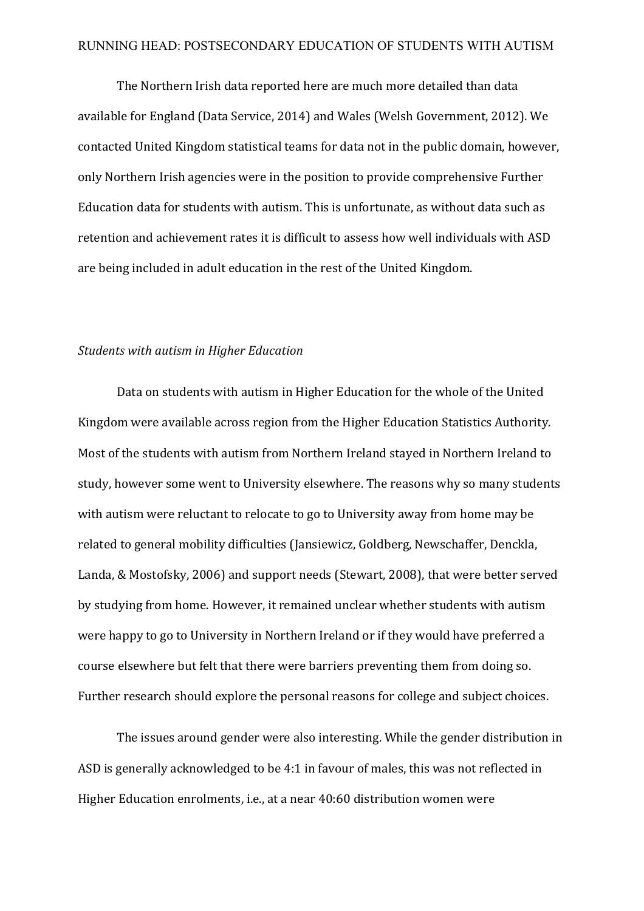The Northern Irish data reported here are much more detailed than data available for England (Data Service, 2014) and Wales (Welsh Government, 2012). We contacted United Kingdom statistical teams for data not in the public domain, however, only Northern Irish agencies were in the position to provide comprehensive Further Education data for students with autism. This is unfortunate, as without data such as retention and achievement rates it is difficult to assess how well individuals with ASD are being included in adult education in the rest of the United Kingdom.

#### **Students with autism in Higher Education**

Data on students with autism in Higher Education for the whole of the United Kingdom were available across region from the Higher Education Statistics Authority. Most of the students with autism from Northern Ireland stayed in Northern Ireland to study, however some went to University elsewhere. The reasons why so many students with autism were reluctant to relocate to go to University away from home may be related to general mobility difficulties (Jansiewicz, Goldberg, Newschaffer, Denckla, Landa, & Mostofsky, 2006) and support needs (Stewart, 2008), that were better served by studying from home. However, it remained unclear whether students with autism were happy to go to University in Northern Ireland or if they would have preferred a course elsewhere but felt that there were barriers preventing them from doing so. Further research should explore the personal reasons for college and subject choices.

The issues around gender were also interesting. While the gender distribution in ASD is generally acknowledged to be 4:1 in favour of males, this was not reflected in Higher Education enrolments, i.e., at a near 40:60 distribution women were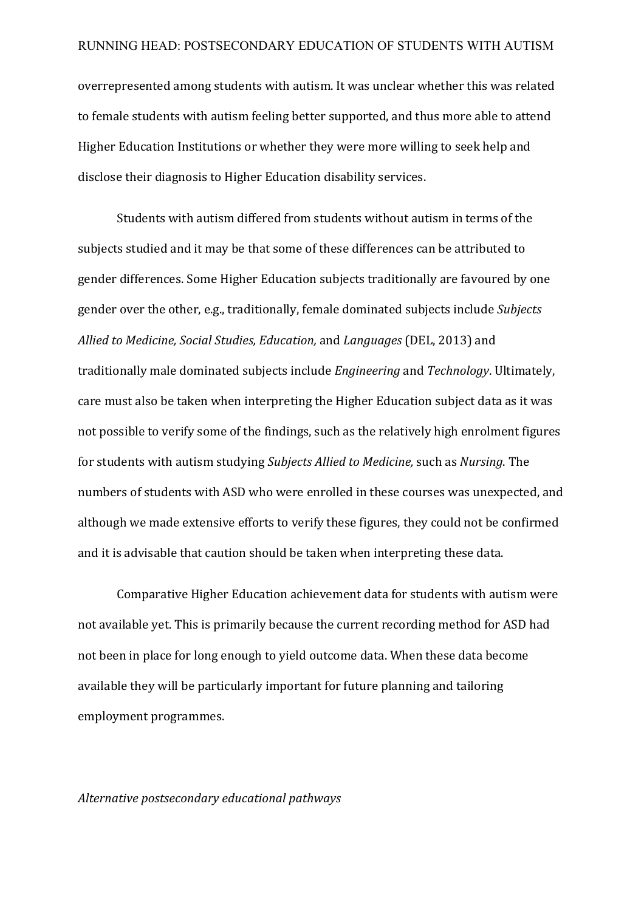overrepresented among students with autism. It was unclear whether this was related to female students with autism feeling better supported, and thus more able to attend Higher Education Institutions or whether they were more willing to seek help and disclose their diagnosis to Higher Education disability services.

Students with autism differed from students without autism in terms of the subjects studied and it may be that some of these differences can be attributed to gender differences. Some Higher Education subjects traditionally are favoured by one gender over the other, e.g., traditionally, female dominated subjects include *Subjects Allied to Medicine, Social Studies, Education,* and *Languages* (DEL, 2013) and traditionally male dominated subjects include *Engineering* and *Technology*. Ultimately, care must also be taken when interpreting the Higher Education subject data as it was not possible to verify some of the findings, such as the relatively high enrolment figures for students with autism studying *Subjects Allied to Medicine*, such as *Nursing*. The numbers of students with ASD who were enrolled in these courses was unexpected, and although we made extensive efforts to verify these figures, they could not be confirmed and it is advisable that caution should be taken when interpreting these data.

Comparative Higher Education achievement data for students with autism were not available yet. This is primarily because the current recording method for ASD had not been in place for long enough to yield outcome data. When these data become available they will be particularly important for future planning and tailoring employment programmes.

## *Alternative postsecondary educational pathways*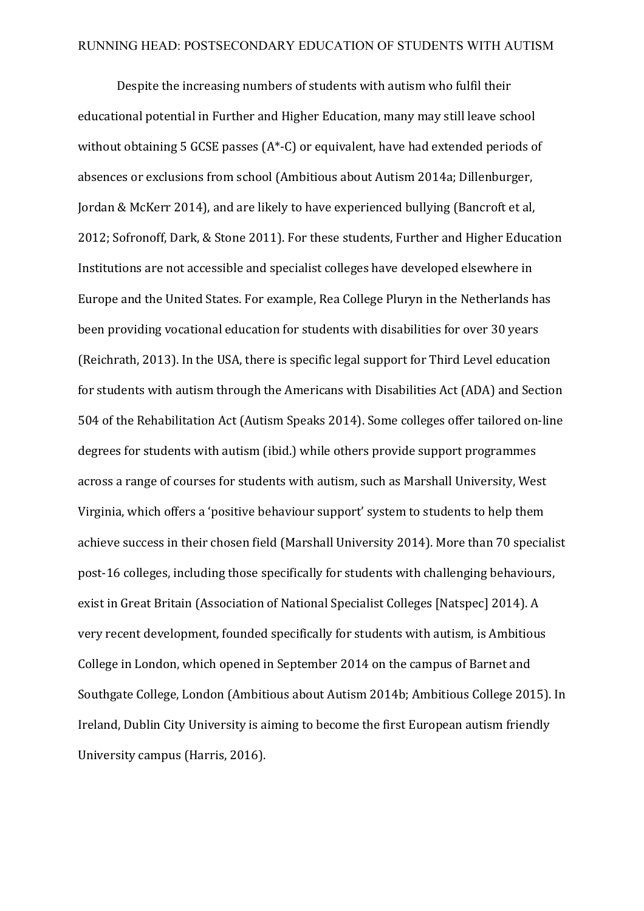Despite the increasing numbers of students with autism who fulfil their educational potential in Further and Higher Education, many may still leave school without obtaining 5 GCSE passes  $(A^* - C)$  or equivalent, have had extended periods of absences or exclusions from school (Ambitious about Autism 2014a; Dillenburger, Jordan & McKerr 2014), and are likely to have experienced bullying (Bancroft et al, 2012; Sofronoff, Dark, & Stone 2011). For these students, Further and Higher Education Institutions are not accessible and specialist colleges have developed elsewhere in Europe and the United States. For example, Rea College Pluryn in the Netherlands has been providing vocational education for students with disabilities for over 30 years (Reichrath, 2013). In the USA, there is specific legal support for Third Level education for students with autism through the Americans with Disabilities Act (ADA) and Section 504 of the Rehabilitation Act (Autism Speaks 2014). Some colleges offer tailored on-line degrees for students with autism (ibid.) while others provide support programmes across a range of courses for students with autism, such as Marshall University, West Virginia, which offers a 'positive behaviour support' system to students to help them achieve success in their chosen field (Marshall University 2014). More than 70 specialist post-16 colleges, including those specifically for students with challenging behaviours, exist in Great Britain (Association of National Specialist Colleges [Natspec] 2014). A very recent development, founded specifically for students with autism, is Ambitious College in London, which opened in September 2014 on the campus of Barnet and Southgate College, London (Ambitious about Autism 2014b; Ambitious College 2015). In Ireland, Dublin City University is aiming to become the first European autism friendly University campus (Harris, 2016).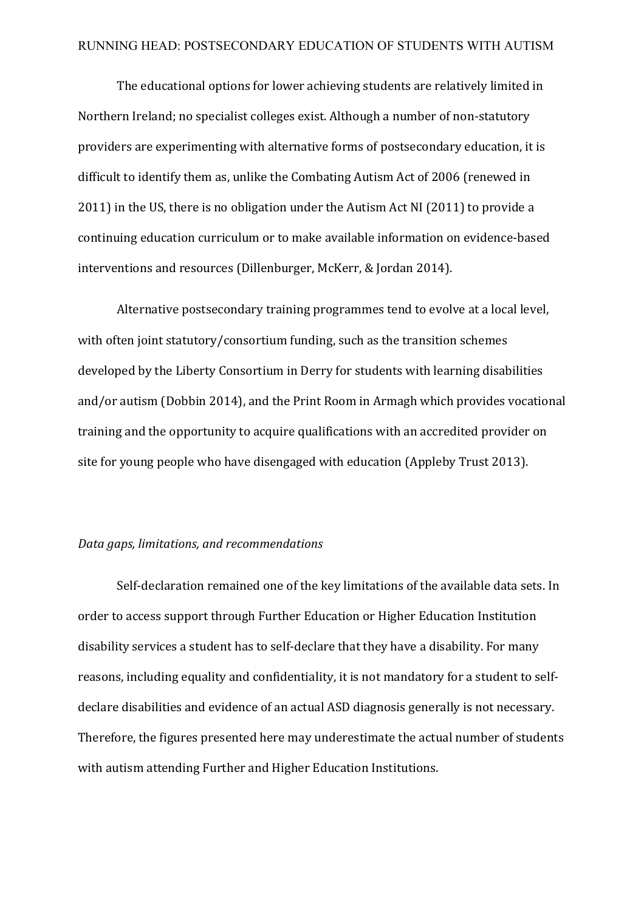The educational options for lower achieving students are relatively limited in Northern Ireland; no specialist colleges exist. Although a number of non-statutory providers are experimenting with alternative forms of postsecondary education, it is difficult to identify them as, unlike the Combating Autism Act of 2006 (renewed in 2011) in the US, there is no obligation under the Autism Act NI (2011) to provide a continuing education curriculum or to make available information on evidence-based interventions and resources (Dillenburger, McKerr, & Jordan 2014).

Alternative postsecondary training programmes tend to evolve at a local level, with often joint statutory/consortium funding, such as the transition schemes developed by the Liberty Consortium in Derry for students with learning disabilities and/or autism (Dobbin 2014), and the Print Room in Armagh which provides vocational training and the opportunity to acquire qualifications with an accredited provider on site for young people who have disengaged with education (Appleby Trust 2013).

### *Data gaps, limitations, and recommendations*

Self-declaration remained one of the key limitations of the available data sets. In order to access support through Further Education or Higher Education Institution disability services a student has to self-declare that they have a disability. For many reasons, including equality and confidentiality, it is not mandatory for a student to selfdeclare disabilities and evidence of an actual ASD diagnosis generally is not necessary. Therefore, the figures presented here may underestimate the actual number of students with autism attending Further and Higher Education Institutions.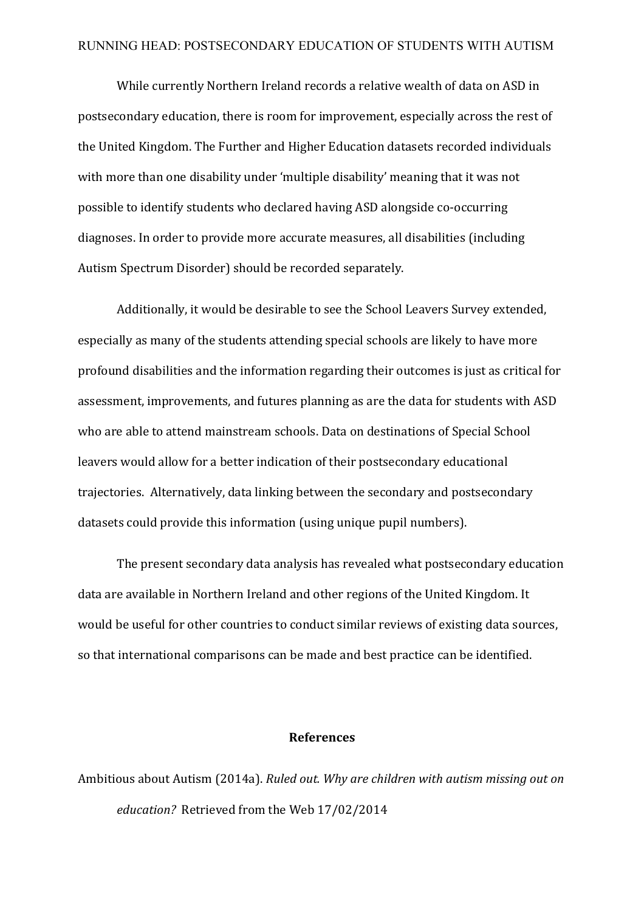While currently Northern Ireland records a relative wealth of data on ASD in postsecondary education, there is room for improvement, especially across the rest of the United Kingdom. The Further and Higher Education datasets recorded individuals with more than one disability under 'multiple disability' meaning that it was not possible to identify students who declared having ASD alongside co-occurring diagnoses. In order to provide more accurate measures, all disabilities (including Autism Spectrum Disorder) should be recorded separately.

Additionally, it would be desirable to see the School Leavers Survey extended, especially as many of the students attending special schools are likely to have more profound disabilities and the information regarding their outcomes is just as critical for assessment, improvements, and futures planning as are the data for students with ASD who are able to attend mainstream schools. Data on destinations of Special School leavers would allow for a better indication of their postsecondary educational trajectories. Alternatively, data linking between the secondary and postsecondary datasets could provide this information (using unique pupil numbers).

The present secondary data analysis has revealed what postsecondary education data are available in Northern Ireland and other regions of the United Kingdom. It would be useful for other countries to conduct similar reviews of existing data sources, so that international comparisons can be made and best practice can be identified.

#### **References**

Ambitious about Autism (2014a). *Ruled out. Why are children with autism missing out on education?* Retrieved from the Web 17/02/2014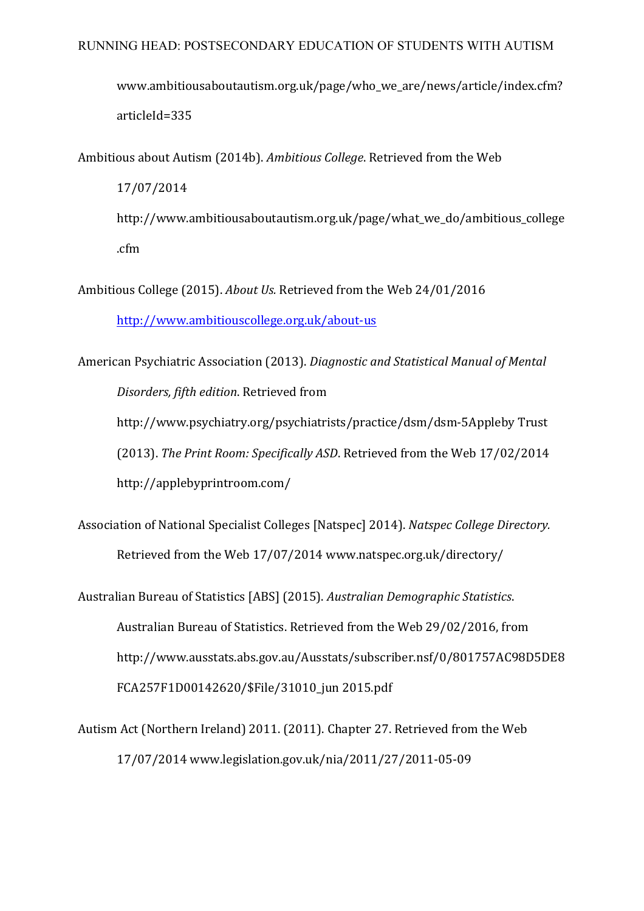www.ambitiousaboutautism.org.uk/page/who\_we\_are/news/article/index.cfm? articleId=335

Ambitious about Autism (2014b). Ambitious College. Retrieved from the Web 17/07/2014 http://www.ambitiousaboutautism.org.uk/page/what\_we\_do/ambitious\_college

.cfm

Ambitious College (2015). *About Us.* Retrieved from the Web 24/01/2016 http://www.ambitiouscollege.org.uk/about-us

American Psychiatric Association (2013). *Diagnostic and Statistical Manual of Mental Disorders, fifth edition*. Retrieved from http://www.psychiatry.org/psychiatrists/practice/dsm/dsm-5Appleby Trust (2013). The Print Room: Specifically ASD. Retrieved from the Web 17/02/2014 http://applebyprintroom.com/

Association of National Specialist Colleges [Natspec] 2014). *Natspec College Directory.* Retrieved from the Web 17/07/2014 www.natspec.org.uk/directory/

Australian Bureau of Statistics [ABS] (2015). Australian Demographic Statistics. Australian Bureau of Statistics. Retrieved from the Web 29/02/2016, from http://www.ausstats.abs.gov.au/Ausstats/subscriber.nsf/0/801757AC98D5DE8 FCA257F1D00142620/\$File/31010\_jun 2015.pdf

Autism Act (Northern Ireland) 2011. (2011). Chapter 27. Retrieved from the Web 17/07/2014 www.legislation.gov.uk/nia/2011/27/2011-05-09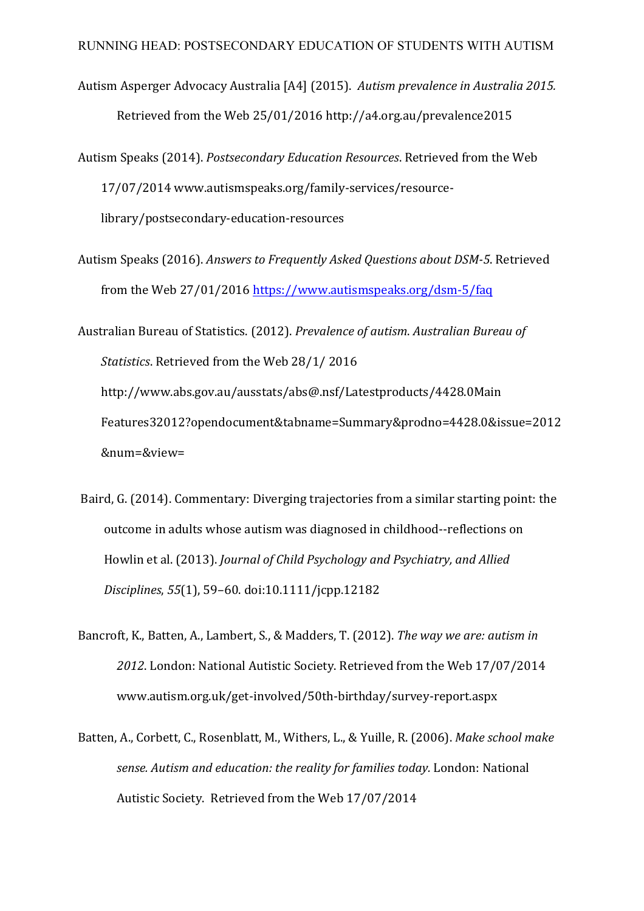- Autism Asperger Advocacy Australia [A4] (2015). Autism prevalence in Australia 2015. Retrieved from the Web 25/01/2016 http://a4.org.au/prevalence2015
- Autism Speaks (2014). *Postsecondary Education Resources*. Retrieved from the Web 17/07/2014 www.autismspeaks.org/family-services/resourcelibrary/postsecondary-education-resources
- Autism Speaks (2016). Answers to Frequently Asked Questions about DSM-5. Retrieved from the Web 27/01/2016 https://www.autismspeaks.org/dsm-5/faq
- Australian Bureau of Statistics. (2012). *Prevalence of autism. Australian Bureau of Statistics*. Retrieved from the Web 28/1/ 2016 http://www.abs.gov.au/ausstats/abs@.nsf/Latestproducts/4428.0Main Features32012?opendocument&tabname=Summary&prodno=4428.0&issue=2012 &num=&view=
- Baird, G. (2014). Commentary: Diverging trajectories from a similar starting point: the outcome in adults whose autism was diagnosed in childhood--reflections on Howlin et al. (2013). *Journal of Child Psychology and Psychiatry, and Allied Disciplines*, *55*(1), 59–60. doi:10.1111/jcpp.12182
- Bancroft, K., Batten, A., Lambert, S., & Madders, T. (2012). *The way we are: autism in* 2012. London: National Autistic Society. Retrieved from the Web 17/07/2014 www.autism.org.uk/get-involved/50th-birthday/survey-report.aspx
- Batten, A., Corbett, C., Rosenblatt, M., Withers, L., & Yuille, R. (2006). *Make school make* sense. Autism and education: the reality for families today. London: National Autistic Society. Retrieved from the Web 17/07/2014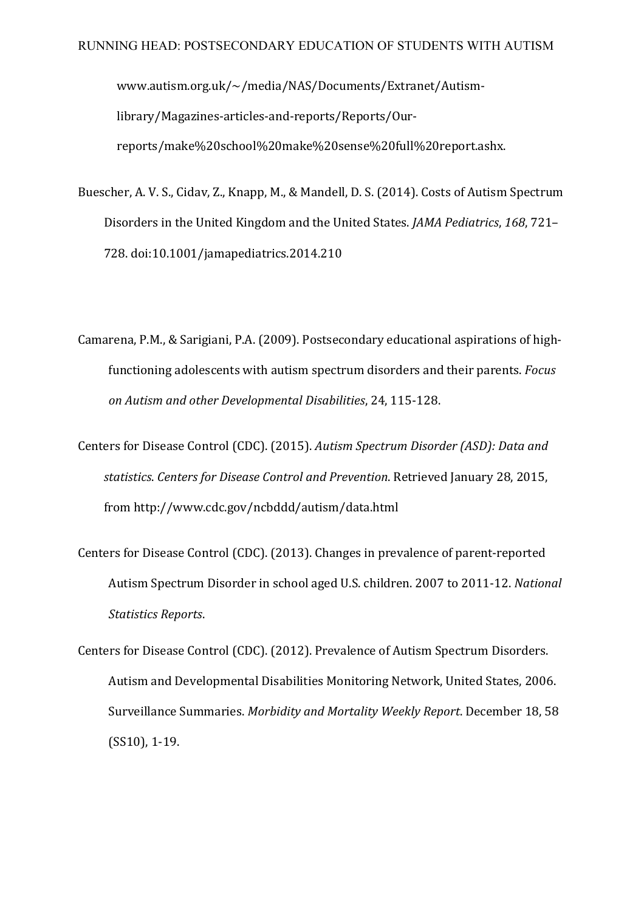www.autism.org.uk/~/media/NAS/Documents/Extranet/Autismlibrary/Magazines-articles-and-reports/Reports/Ourreports/make%20school%20make%20sense%20full%20report.ashx.

- Buescher, A. V. S., Cidav, Z., Knapp, M., & Mandell, D. S. (2014). Costs of Autism Spectrum Disorders in the United Kingdom and the United States. *JAMA Pediatrics*, 168, 721– 728. doi:10.1001/jamapediatrics.2014.210
- Camarena, P.M., & Sarigiani, P.A. (2009). Postsecondary educational aspirations of highfunctioning adolescents with autism spectrum disorders and their parents. *Focus on Autism and other Developmental Disabilities*, 24, 115-128.
- Centers for Disease Control (CDC). (2015). Autism Spectrum Disorder (ASD): Data and *statistics*. *Centers for Disease Control and Prevention*. Retrieved January 28, 2015, from http://www.cdc.gov/ncbddd/autism/data.html
- Centers for Disease Control (CDC). (2013). Changes in prevalence of parent-reported Autism Spectrum Disorder in school aged U.S. children. 2007 to 2011-12. *National Statistics Reports*.
- Centers for Disease Control (CDC). (2012). Prevalence of Autism Spectrum Disorders. Autism and Developmental Disabilities Monitoring Network, United States, 2006. Surveillance Summaries. *Morbidity and Mortality Weekly Report*. December 18, 58  $(SS10)$ , 1-19.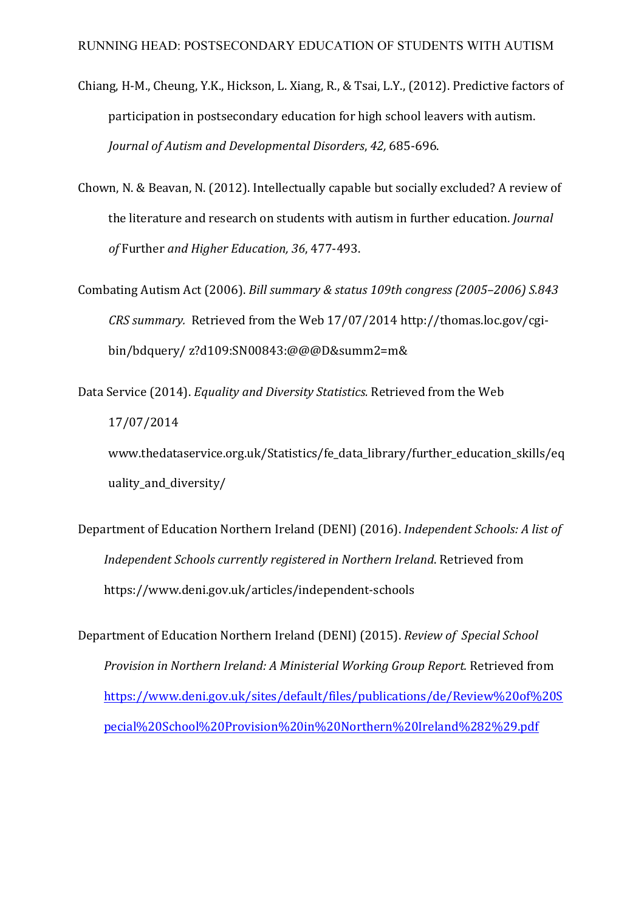- Chiang, H-M., Cheung, Y.K., Hickson, L. Xiang, R., & Tsai, L.Y., (2012). Predictive factors of participation in postsecondary education for high school leavers with autism. *Journal of Autism and Developmental Disorders*, *42,* 685-696.
- Chown, N. & Beavan, N. (2012). Intellectually capable but socially excluded? A review of the literature and research on students with autism in further education. *Journal of* Further *and Higher Education, 36*, 477-493.
- Combating Autism Act (2006). *Bill summary & status* 109th congress (2005–2006) S.843 *CRS* summary. Retrieved from the Web 17/07/2014 http://thomas.loc.gov/cgibin/bdquery/ z?d109:SN00843:@@@D&summ2=m&
- Data Service (2014). *Equality and Diversity Statistics.* Retrieved from the Web 17/07/2014 www.thedataservice.org.uk/Statistics/fe\_data\_library/further\_education\_skills/eq

uality\_and\_diversity/

Department of Education Northern Ireland (DENI) (2016). *Independent Schools: A list of Independent Schools currently registered in Northern Ireland.* Retrieved from https://www.deni.gov.uk/articles/independent-schools

Department of Education Northern Ireland (DENI) (2015). *Review of Special School Provision in Northern Ireland: A Ministerial Working Group Report.* Retrieved from https://www.deni.gov.uk/sites/default/files/publications/de/Review%20of%20S pecial%20School%20Provision%20in%20Northern%20Ireland%282%29.pdf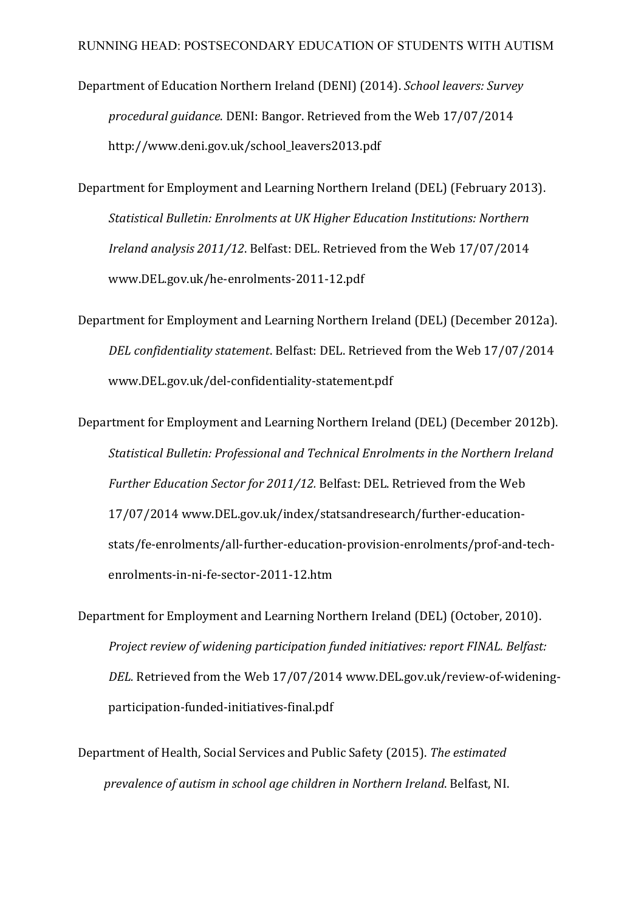- Department of Education Northern Ireland (DENI) (2014). *School leavers: Survey* procedural guidance. DENI: Bangor. Retrieved from the Web 17/07/2014 http://www.deni.gov.uk/school\_leavers2013.pdf
- Department for Employment and Learning Northern Ireland (DEL) (February 2013). *Statistical Bulletin: Enrolments at UK Higher Education Institutions: Northern Ireland analysis 2011/12.* Belfast: DEL. Retrieved from the Web 17/07/2014 www.DEL.gov.uk/he-enrolments-2011-12.pdf
- Department for Employment and Learning Northern Ireland (DEL) (December 2012a). *DEL* confidentiality statement. Belfast: DEL. Retrieved from the Web 17/07/2014 www.DEL.gov.uk/del-confidentiality-statement.pdf
- Department for Employment and Learning Northern Ireland (DEL) (December 2012b). *Statistical Bulletin: Professional and Technical Enrolments in the Northern Ireland Further Education Sector for 2011/12.* Belfast: DEL. Retrieved from the Web 17/07/2014 www.DEL.gov.uk/index/statsandresearch/further-educationstats/fe-enrolments/all-further-education-provision-enrolments/prof-and-techenrolments-in-ni-fe-sector-2011-12.htm
- Department for Employment and Learning Northern Ireland (DEL) (October, 2010). *Project review of widening participation funded initiatives: report FINAL. Belfast: DEL*. Retrieved from the Web 17/07/2014 www.DEL.gov.uk/review-of-wideningparticipation-funded-initiatives-final.pdf
- Department of Health, Social Services and Public Safety (2015). The estimated *prevalence of autism in school age children in Northern Ireland.* Belfast, NI.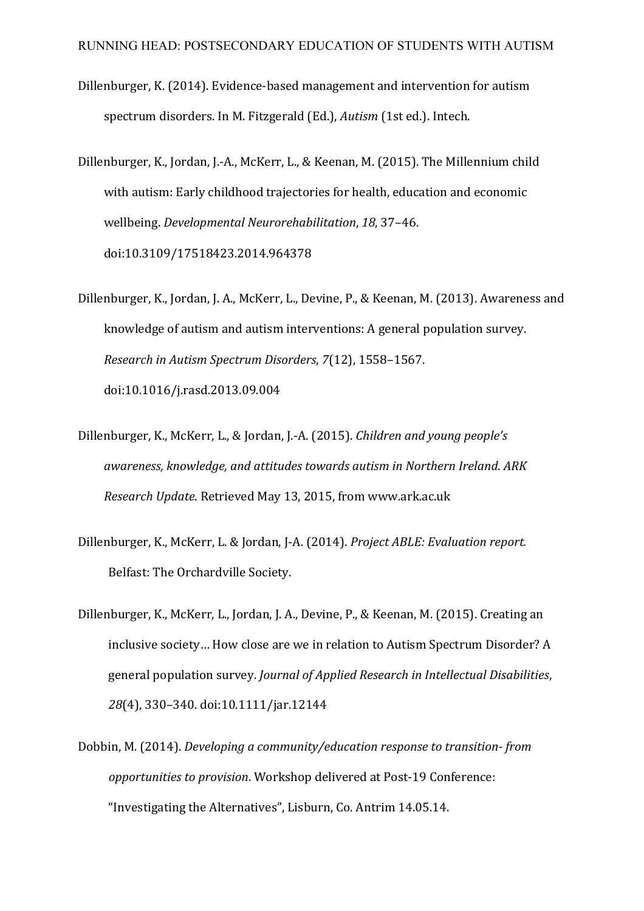- Dillenburger, K. (2014). Evidence-based management and intervention for autism spectrum disorders. In M. Fitzgerald (Ed.), *Autism* (1st ed.). Intech.
- Dillenburger, K., Jordan, J.-A., McKerr, L., & Keenan, M. (2015). The Millennium child with autism: Early childhood trajectories for health, education and economic wellbeing. *Developmental Neurorehabilitation*, 18, 37-46. doi:10.3109/17518423.2014.964378
- Dillenburger, K., Jordan, J. A., McKerr, L., Devine, P., & Keenan, M. (2013). Awareness and knowledge of autism and autism interventions: A general population survey. *Research in Autism Spectrum Disorders,* 7(12), 1558-1567. doi:10.1016/j.rasd.2013.09.004
- Dillenburger, K., McKerr, L., & Jordan, J.-A. (2015). *Children and young people's awareness, knowledge, and attitudes towards autism in Northern Ireland*. *ARK Research Update*. Retrieved May 13, 2015, from www.ark.ac.uk
- Dillenburger, K., McKerr, L. & Jordan, J-A. (2014). *Project ABLE: Evaluation report.* Belfast: The Orchardville Society.
- Dillenburger, K., McKerr, L., Jordan, J. A., Devine, P., & Keenan, M. (2015). Creating an inclusive society... How close are we in relation to Autism Spectrum Disorder? A general population survey. *Journal of Applied Research in Intellectual Disabilities*, *28*(4), 330–340. doi:10.1111/jar.12144
- Dobbin, M. (2014). *Developing a community/education response to transition-from opportunities to provision.* Workshop delivered at Post-19 Conference: "Investigating the Alternatives", Lisburn, Co. Antrim 14.05.14.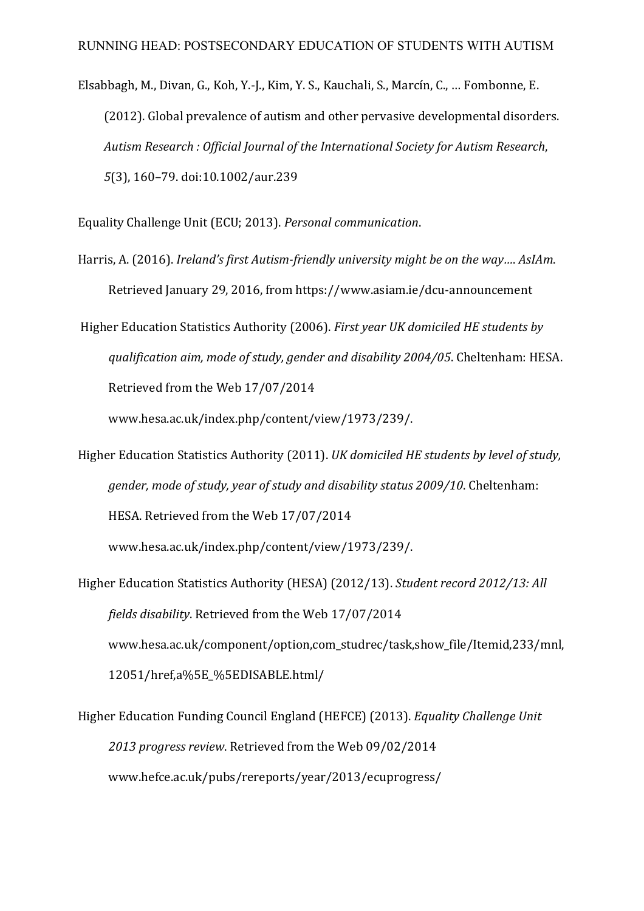Elsabbagh, M., Divan, G., Koh, Y.-J., Kim, Y. S., Kauchali, S., Marcín, C., ... Fombonne, E. (2012). Global prevalence of autism and other pervasive developmental disorders. Autism Research : Official Journal of the International Society for Autism Research, *5*(3), 160–79. doi:10.1002/aur.239

Equality Challenge Unit (ECU; 2013). *Personal communication*.

Harris, A. (2016). *Ireland's first Autism-friendly university might be on the way.... AsIAm.* Retrieved January 29, 2016, from https://www.asiam.ie/dcu-announcement

Higher Education Statistics Authority (2006). *First year UK domiciled HE students by qualification aim, mode of study, gender and disability 2004/05*. Cheltenham: HESA. Retrieved from the Web 17/07/2014

www.hesa.ac.uk/index.php/content/view/1973/239/.

- Higher Education Statistics Authority (2011). *UK domiciled HE students by level of study*, *gender, mode of study, year of study and disability status 2009/10.* Cheltenham: HESA. Retrieved from the Web 17/07/2014 www.hesa.ac.uk/index.php/content/view/1973/239/.
- Higher Education Statistics Authority (HESA) (2012/13). *Student record 2012/13: All fields disability*. Retrieved from the Web 17/07/2014 www.hesa.ac.uk/component/option,com\_studrec/task,show\_file/Itemid,233/mnl, 12051/href,a%5E\_%5EDISABLE.html/
- Higher Education Funding Council England (HEFCE) (2013). *Equality Challenge Unit* 2013 progress review. Retrieved from the Web 09/02/2014 www.hefce.ac.uk/pubs/rereports/year/2013/ecuprogress/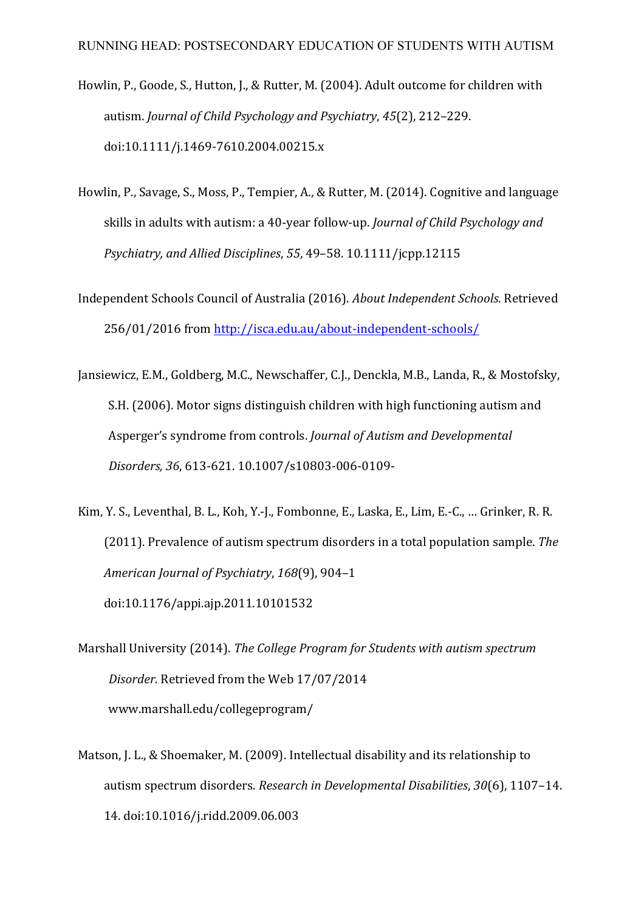- Howlin, P., Goode, S., Hutton, J., & Rutter, M. (2004). Adult outcome for children with autism. *Journal of Child Psychology and Psychiatry*, 45(2), 212–229. doi:10.1111/j.1469-7610.2004.00215.x
- Howlin, P., Savage, S., Moss, P., Tempier, A., & Rutter, M. (2014). Cognitive and language skills in adults with autism: a 40-year follow-up. *Journal of Child Psychology and Psychiatry, and Allied Disciplines,* 55, 49–58. 10.1111/jcpp.12115
- Independent Schools Council of Australia (2016). *About Independent Schools*. Retrieved 256/01/2016 from http://isca.edu.au/about-independent-schools/
- Jansiewicz, E.M., Goldberg, M.C., Newschaffer, C.J., Denckla, M.B., Landa, R., & Mostofsky, S.H. (2006). Motor signs distinguish children with high functioning autism and Asperger's syndrome from controls. *Journal of Autism and Developmental Disorders, 36*, 613-621. 10.1007/s10803-006-0109-
- Kim, Y. S., Leventhal, B. L., Koh, Y.-J., Fombonne, E., Laska, E., Lim, E.-C., ... Grinker, R. R. (2011). Prevalence of autism spectrum disorders in a total population sample. *The American Journal of Psychiatry*, *168*(9), 904–1 doi:10.1176/appi.ajp.2011.10101532
- Marshall University (2014). *The College Program for Students with autism spectrum* Disorder. Retrieved from the Web 17/07/2014 www.marshall.edu/collegeprogram/
- Matson, J. L., & Shoemaker, M. (2009). Intellectual disability and its relationship to autism spectrum disorders. *Research in Developmental Disabilities*, 30(6), 1107-14. 14. doi:10.1016/j.ridd.2009.06.003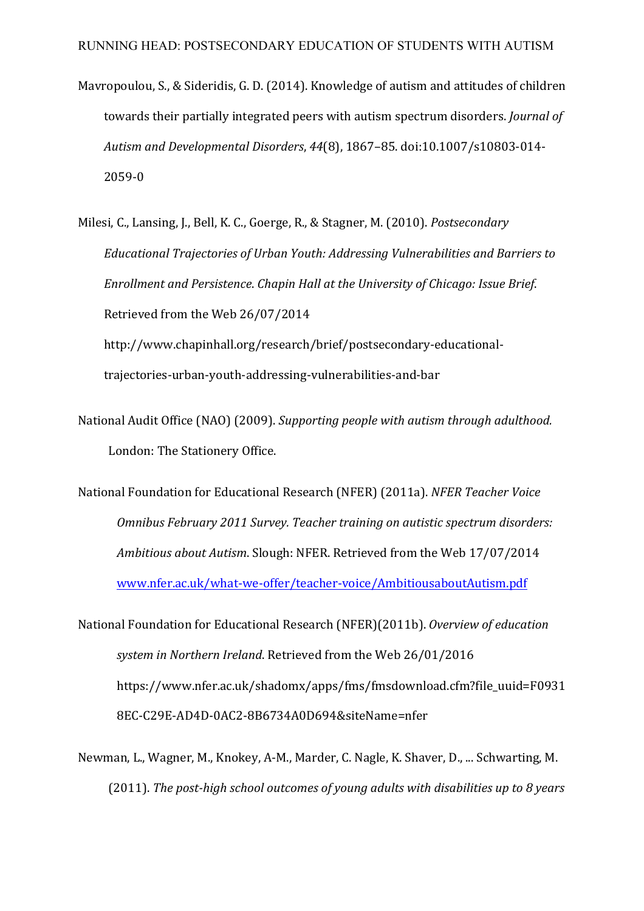- Mavropoulou, S., & Sideridis, G. D. (2014). Knowledge of autism and attitudes of children towards their partially integrated peers with autism spectrum disorders. *Journal of Autism and Developmental Disorders*, *44*(8), 1867–85. doi:10.1007/s10803-014- 2059-0
- Milesi, C., Lansing, J., Bell, K. C., Goerge, R., & Stagner, M. (2010). *Postsecondary* Educational Trajectories of Urban Youth: Addressing Vulnerabilities and Barriers to *Enrollment and Persistence. Chapin Hall at the University of Chicago: Issue Brief.* Retrieved from the Web 26/07/2014 http://www.chapinhall.org/research/brief/postsecondary-educational-

trajectories-urban-youth-addressing-vulnerabilities-and-bar

- National Audit Office (NAO) (2009). *Supporting people with autism through adulthood.* London: The Stationery Office.
- National Foundation for Educational Research (NFER) (2011a). *NFER Teacher Voice Omnibus February 2011 Survey. Teacher training on autistic spectrum disorders: Ambitious about Autism.* Slough: NFER. Retrieved from the Web 17/07/2014 www.nfer.ac.uk/what-we-offer/teacher-voice/AmbitiousaboutAutism.pdf
- National Foundation for Educational Research (NFER)(2011b). Overview of education system in Northern Ireland. Retrieved from the Web 26/01/2016 https://www.nfer.ac.uk/shadomx/apps/fms/fmsdownload.cfm?file\_uuid=F0931 8EC-C29E-AD4D-0AC2-8B6734A0D694&siteName=nfer
- Newman, L., Wagner, M., Knokey, A-M., Marder, C. Nagle, K. Shaver, D., ... Schwarting, M. (2011). The post-high school outcomes of young adults with disabilities up to 8 years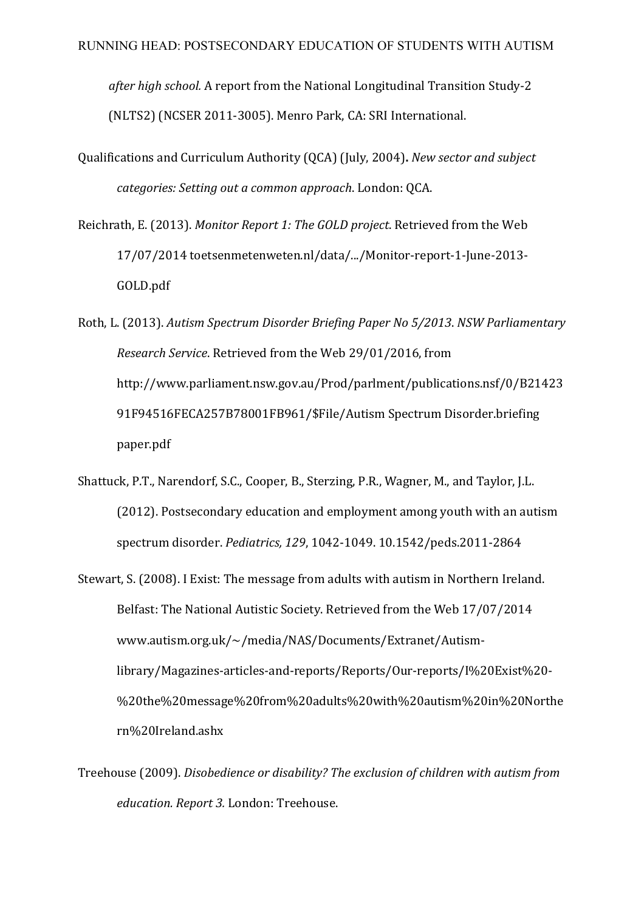after high school. A report from the National Longitudinal Transition Study-2 (NLTS2) (NCSER 2011-3005). Menro Park, CA: SRI International.

- Qualifications and Curriculum Authority (QCA) (July, 2004). *New sector and subject categories: Setting out a common approach.* London: OCA.
- Reichrath, E. (2013). *Monitor Report 1: The GOLD project*. Retrieved from the Web 17/07/2014 toetsenmetenweten.nl/data/.../Monitor-report-1-June-2013- GOLD.pdf
- Roth, L. (2013). *Autism Spectrum Disorder Briefing Paper No 5/2013*. *NSW Parliamentary Research Service*. Retrieved from the Web 29/01/2016, from http://www.parliament.nsw.gov.au/Prod/parlment/publications.nsf/0/B21423 91F94516FECA257B78001FB961/\$File/Autism Spectrum Disorder.briefing paper.pdf
- Shattuck, P.T., Narendorf, S.C., Cooper, B., Sterzing, P.R., Wagner, M., and Taylor, J.L. (2012). Postsecondary education and employment among youth with an autism spectrum disorder. *Pediatrics, 129*, 1042-1049. 10.1542/peds.2011-2864
- Stewart, S. (2008). I Exist: The message from adults with autism in Northern Ireland. Belfast: The National Autistic Society. Retrieved from the Web 17/07/2014 www.autism.org.uk/~/media/NAS/Documents/Extranet/Autismlibrary/Magazines-articles-and-reports/Reports/Our-reports/I%20Exist%20- %20the%20message%20from%20adults%20with%20autism%20in%20Northe rn%20Ireland.ashx
- Treehouse (2009). *Disobedience or disability? The exclusion of children with autism from education. Report 3.* London: Treehouse.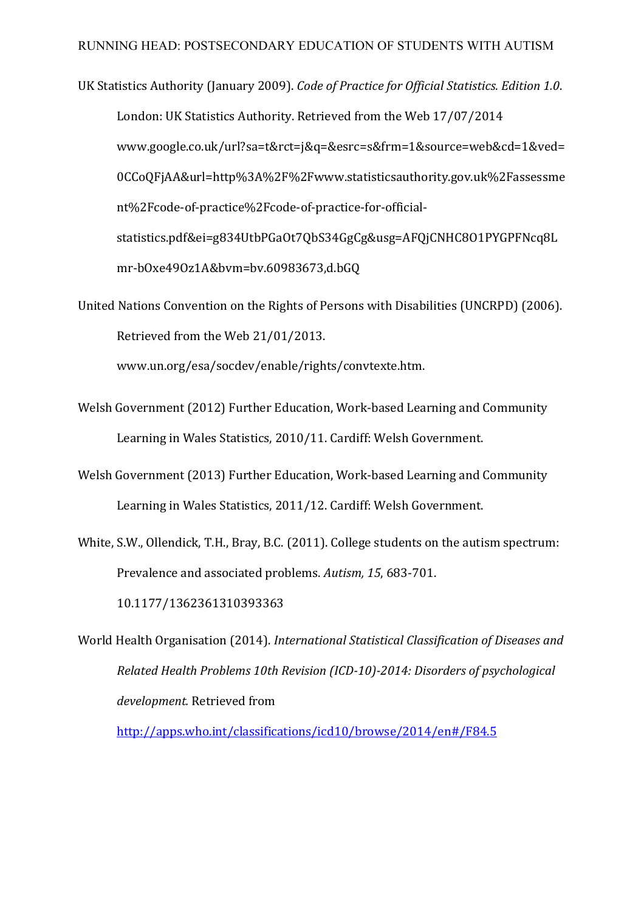UK Statistics Authority (January 2009). *Code of Practice for Official Statistics. Edition 1.0.* London: UK Statistics Authority. Retrieved from the Web 17/07/2014 www.google.co.uk/url?sa=t&rct=j&q=&esrc=s&frm=1&source=web&cd=1&ved= 0CCoQFjAA&url=http%3A%2F%2Fwww.statisticsauthority.gov.uk%2Fassessme nt%2Fcode-of-practice%2Fcode-of-practice-for-officialstatistics.pdf&ei=g834UtbPGaOt7QbS34GgCg&usg=AFQjCNHC8O1PYGPFNcq8L mr-bOxe49Oz1A&bvm=bv.60983673,d.bGQ

United Nations Convention on the Rights of Persons with Disabilities (UNCRPD) (2006). Retrieved from the Web 21/01/2013.

www.un.org/esa/socdev/enable/rights/convtexte.htm.

- Welsh Government (2012) Further Education, Work-based Learning and Community Learning in Wales Statistics, 2010/11. Cardiff: Welsh Government.
- Welsh Government (2013) Further Education, Work-based Learning and Community Learning in Wales Statistics, 2011/12. Cardiff: Welsh Government.
- White, S.W., Ollendick, T.H., Bray, B.C. (2011). College students on the autism spectrum: Prevalence and associated problems. Autism, 15, 683-701. 10.1177/1362361310393363
- World Health Organisation (2014). *International Statistical Classification of Diseases and Related Health Problems 10th Revision (ICD-10)-2014: Disorders of psychological development.* Retrieved from

http://apps.who.int/classifications/icd10/browse/2014/en#/F84.5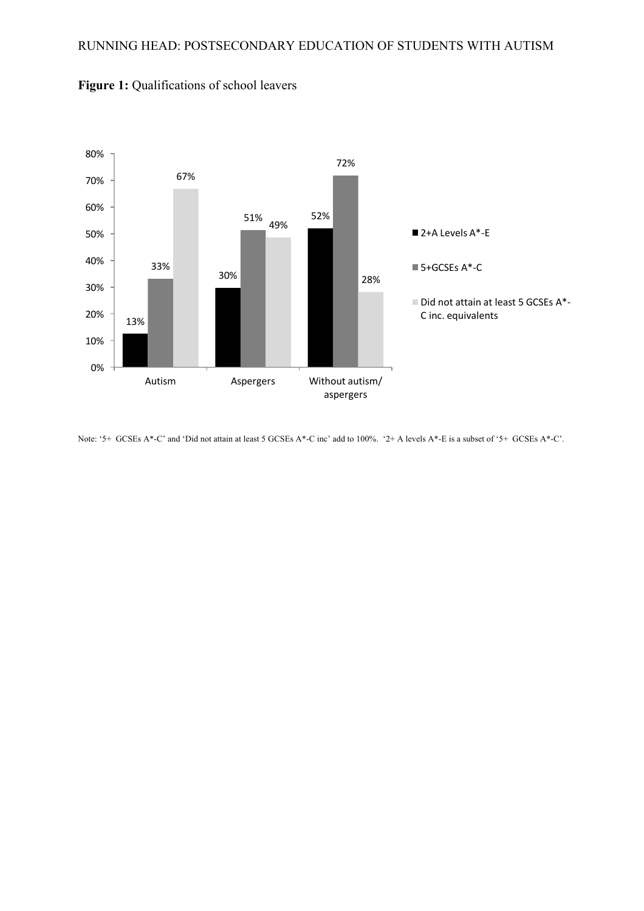

**Figure 1:** Qualifications of school leavers

Note: '5+ GCSEs A\*-C' and 'Did not attain at least 5 GCSEs A\*-C inc' add to 100%. '2+ A levels A\*-E is a subset of '5+ GCSEs A\*-C'.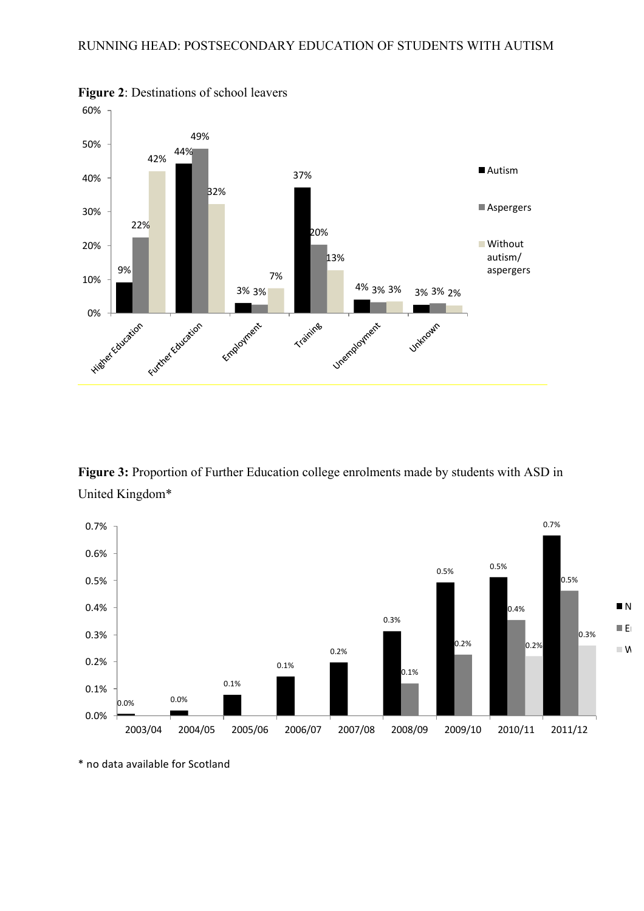

**Figure 2**: Destinations of school leavers

**Figure 3:** Proportion of Further Education college enrolments made by students with ASD in United Kingdom\*



<sup>\*</sup> no data available for Scotland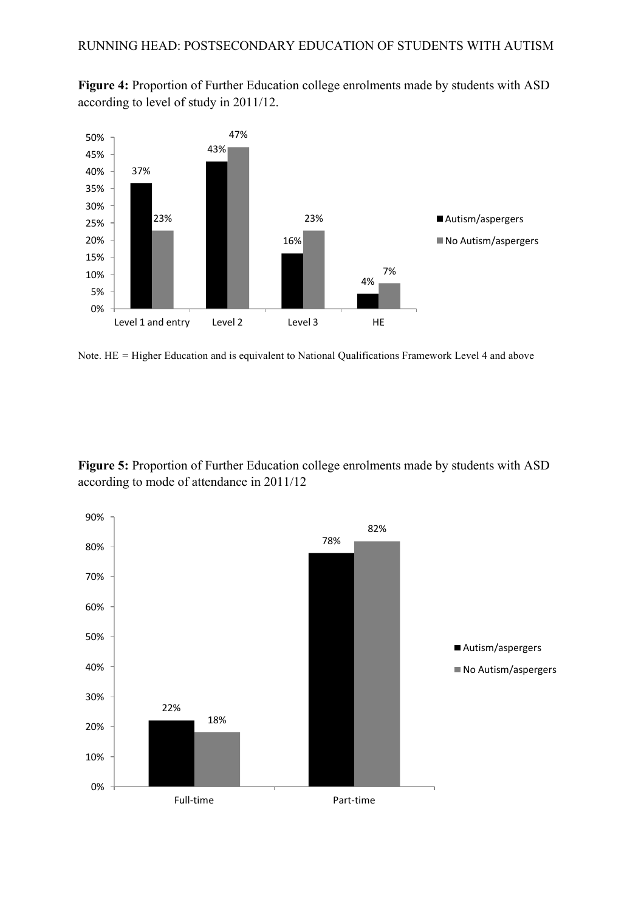**Figure 4:** Proportion of Further Education college enrolments made by students with ASD according to level of study in 2011/12.



Note. HE *=* Higher Education and is equivalent to National Qualifications Framework Level 4 and above

**Figure 5:** Proportion of Further Education college enrolments made by students with ASD according to mode of attendance in 2011/12

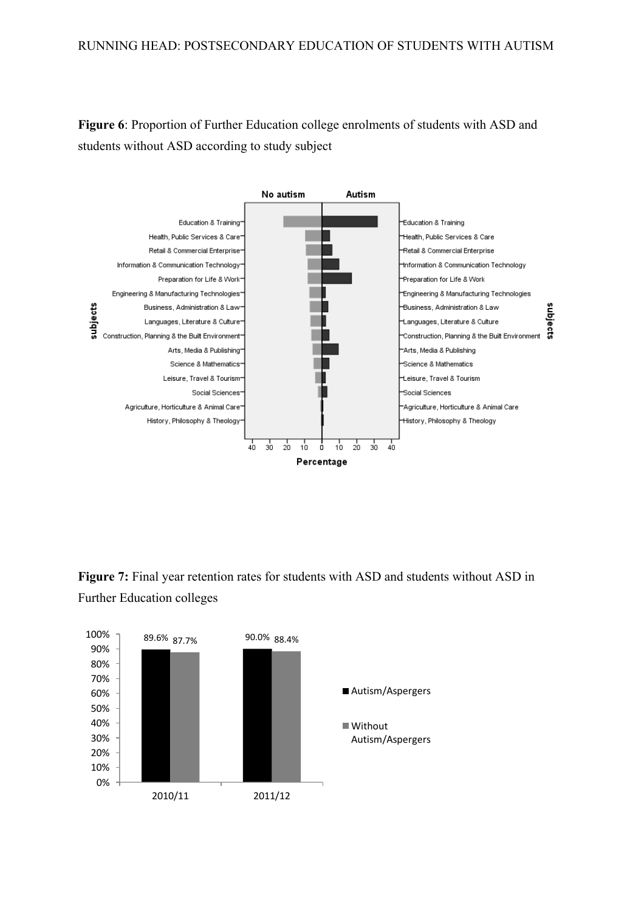## RUNNING HEAD: POSTSECONDARY EDUCATION OF STUDENTS WITH AUTISM

**Figure 6**: Proportion of Further Education college enrolments of students with ASD and students without ASD according to study subject



**Figure 7:** Final year retention rates for students with ASD and students without ASD in Further Education colleges

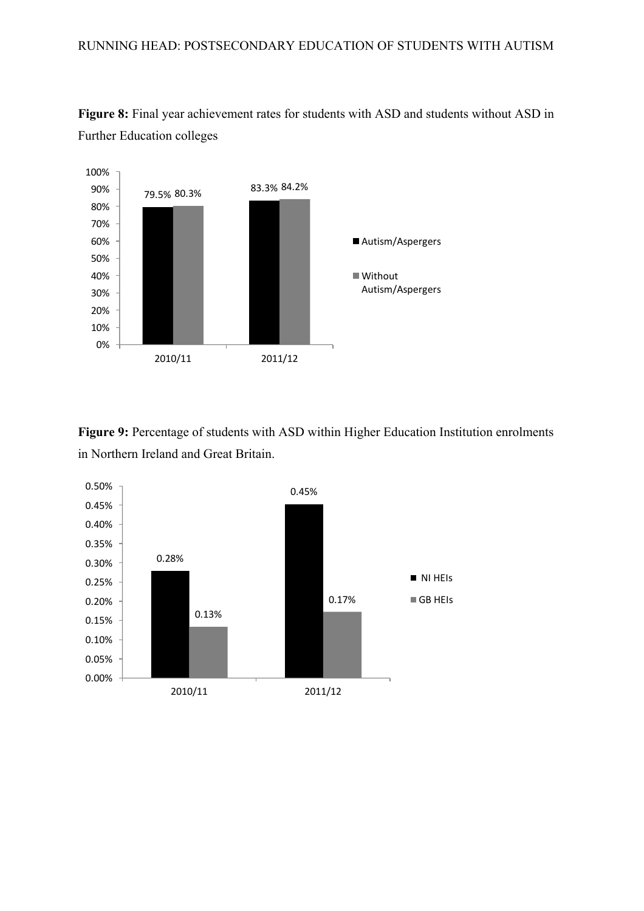



**Figure 9:** Percentage of students with ASD within Higher Education Institution enrolments in Northern Ireland and Great Britain.

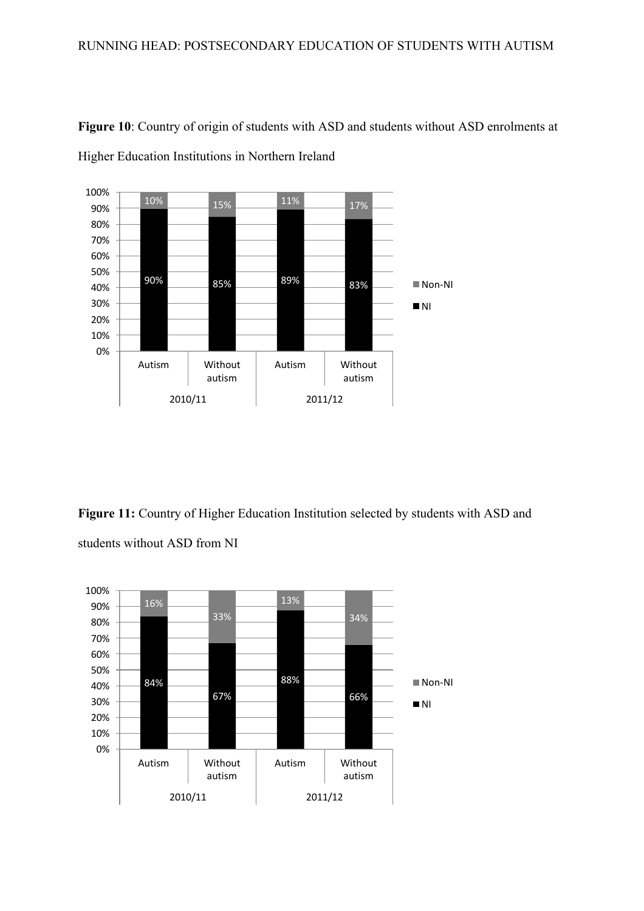

**Figure 10**: Country of origin of students with ASD and students without ASD enrolments at Higher Education Institutions in Northern Ireland

**Figure 11:** Country of Higher Education Institution selected by students with ASD and students without ASD from NI

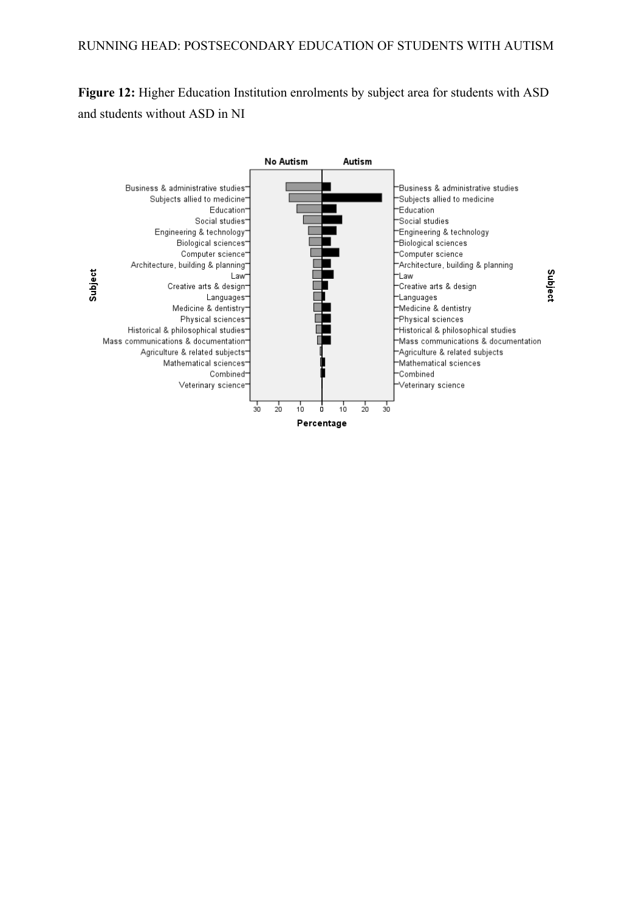**Figure 12:** Higher Education Institution enrolments by subject area for students with ASD and students without ASD in NI